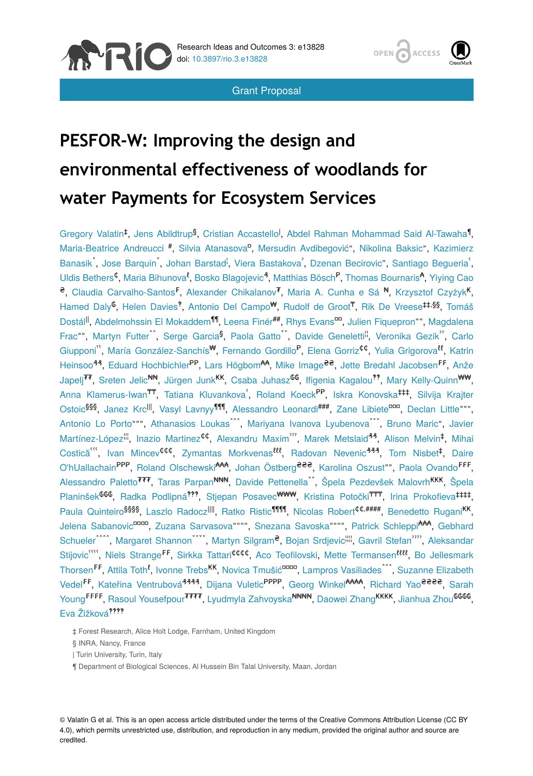

Grant Proposal



# **PESFOR-W: Improving the design and environmental effectiveness of woodlands for water Payments for Ecosystem Services**

Gregory Valatin<sup>t</sup>, Jens Abildtrup<sup>§</sup>, Cristian Accastello<sup>l</sup>, Abdel Rahman Mohammad Said Al-Tawaha<sup>1</sup>, Maria-Beatrice Andreucci <sup>#</sup>, Silvia Atanasova<sup>n</sup>, Mersudin Avdibegović", Nikolina Baksic", Kazimierz Banasik, Jose Barquin, Johan Barstad, Viera Bastakova', Dzenan Becirovic", Santiago Begueria, Uldis Bethers<sup>¢</sup>, Maria Bihunova<sup>8</sup>, Bosko Blagojevic<sup>3</sup>, Matthias Bösch<sup>P</sup>, Thomas Bournaris<sup>4</sup>, Yiying Cao e, Claudia Carvalho-Santos<sup>F</sup>, Alexander Chikalanov<sup>7</sup>, Maria A. Cunha e Sá <sup>N</sup>, Krzysztof Czyżyk<sup>K</sup>, Hamed Daly<sup>C</sup>, Helen Davies<sup>?</sup>, Antonio Del Campo<sup>w</sup>, Rudolf de Groot<sup>T</sup>, Rik De Vreese#,\$\$, Tomáš Dostál<sup>ll</sup>, Abdelmohssin El Mokaddem<sup>11</sup>, Leena Finér<sup>##</sup>, Rhys Evans<sup>oo</sup>, Julien Fiquepron"", Magdalena Frac"", Martyn Futter<sup>^</sup>, Serge Garcia<sup>§</sup>, Paola Gatto<sup>"</sup>, Davide Geneletti<sup>ii</sup>, Veronika Gezik<sup>"</sup>, Carlo Giupponi", María González-Sanchís<sup>w</sup>, Fernando Gordillo<sup>P</sup>, Elena Gorriz<sup>¢¢</sup>, Yulia Grigorova<sup>tt</sup>, Katrin Heinsoo<sup>33</sup>, Eduard Hochbichler<sup>PP</sup>, Lars Högbom<sup>44</sup>, Mike Image<sup>ee</sup>, Jette Bredahl Jacobsen<sup>FF</sup>, Anže Japelj II, Sreten Jelic NN, Jürgen Junk KK, Csaba Juhasz GG, Ifigenia Kagalou <sup>99</sup>, Mary Kelly-Quinn <sup>WW</sup>, Anna Klamerus-Iwan<sup>TT</sup>, Tatiana Kluvankova<sup>'</sup>, Roland Koeck<sup>PP</sup>, Iskra Konovska‡#, Silvija Krajter Ostoic<sup>§§§</sup>, Janez Krc<sup>III</sup>, Vasyl Lavnyy<sup>¶¶¶</sup>, Alessandro Leonardi<sup>###</sup>, Zane Libiete<sup>ooo</sup>, Declan Little "", Antonio Lo Porto""", Athanasios Loukas , Mariyana Ivanova Lyubenova , Bruno Maric , Javier Martínez-López<sup>!!!</sup>, Inazio Martinez<sup>¢¢</sup>, Alexandru Maxim''', Marek Metslaid<sup>44</sup>, Alison Melvin<sup>‡</sup>, Mihai Costică<sup>o</sup> , Ivan Mincev<sup>¢¢¢</sup>, Zymantas Morkvenas<sup>tii</sup>, Radovan Nevenic<sup>499</sup>, Tom Nisbet<sup>‡</sup>, Daire O'hUallachain<sup>PPP</sup>, Roland Olschewski<sup>444</sup>, Johan Östberg<sup>eee</sup>, Karolina Oszust"", Paola Ovando<sup>FFF</sup>, Alessandro Paletto<sup>777</sup>, Taras Parpan<sup>NNN</sup>, Davide Pettenella<sup>"</sup>, Špela Pezdevšek Malovrh<sup>KKK</sup>, Špela Planinšek<sup>666</sup>, Radka Podlipná<sup>???</sup>, Stjepan Posavec<sup>www</sup>, Kristina Potočki<sup>TTT</sup>, Irina Prokofieva<sup>‡‡‡‡</sup>, Paula Quinteiro<sup>§§§§</sup>, Laszlo Radocz<sup>IIII</sup>, Ratko Ristic<sup>11111</sup>, Nicolas Robert<sup>¢¢,####</sup>, Benedetto Rugani<sup>KK</sup>, Jelena Sabanovic<sup>aaaa</sup>, Zuzana Sarvasova """, Snezana Savoska """, Patrick Schleppi<sup>AAA</sup>, Gebhard Schueler<sup>222</sup>, Margaret Shannon **, Martyn Silgram<sup>e</sup>, Bojan Srdjevic<sup>!!!!</sup>, Gavril Stefan , Aleksandar** Stijovic "", Niels Strange<sup>FF</sup>, Sirkka Tattari<sup>¢¢¢¢</sup>, Aco Teofilovski, Mette Termansen<sup>*tttt*</sup>, Bo Jellesmark Thorsen<sup>FF</sup>, Attila Toth<sup>8</sup>, Ivonne Trebs<sup>KK</sup>, Novica Tmušić<sup>cocco</sup>, Lampros Vasiliades^^^, Suzanne Elizabeth Vedel<sup>FF</sup>, Kateřina Ventrubová<sup>4444</sup>, Dijana Vuletic<sup>PPPP</sup>, Georg Winkel<sup>AAAA</sup>, Richard Yao<sup>2222</sup>, Sarah Young<sup>FFFF</sup>, Rasoul Yousefpour<sup>7777</sup>, Lyudmyla Zahvoyska<sup>nnnn</sup>, Daowei Zhang<sup>KKKK</sup>, Jianhua Zhou<sup>6666</sup>, Eva Žižková<sup>????</sup>

‡ Forest Research, Alice Holt Lodge, Farnham, United Kingdom

§ INRA, Nancy, France

| Turin University, Turin, Italy

¶ Department of Biological Sciences, Al Hussein Bin Talal University, Maan, Jordan

© Valatin G et al. This is an open access article distributed under the terms of the Creative Commons Attribution License (CC BY 4.0), which permits unrestricted use, distribution, and reproduction in any medium, provided the original author and source are credited.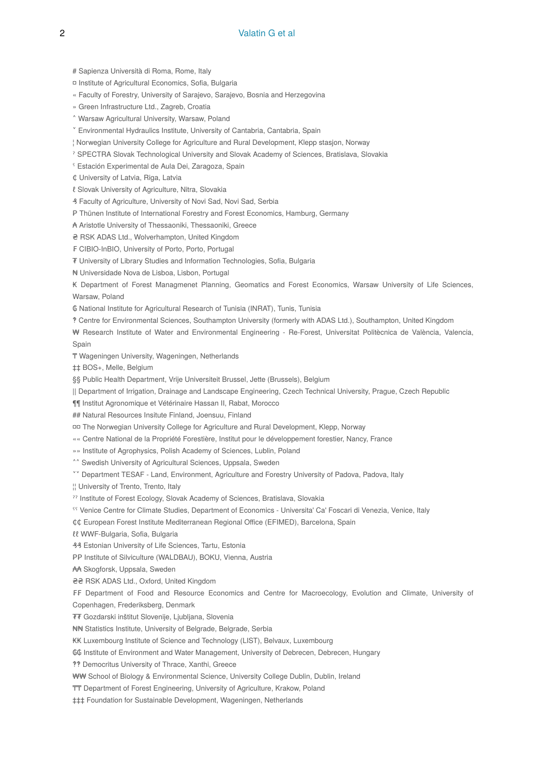# Sapienza Università di Roma, Rome, Italy

- ¤ Institute of Agricultural Economics, Sofia, Bulgaria
- « Faculty of Forestry, University of Sarajevo, Sarajevo, Bosnia and Herzegovina
- » Green Infrastructure Ltd., Zagreb, Croatia
- ˄ Warsaw Agricultural University, Warsaw, Poland
- ˅ Environmental Hydraulics Institute, University of Cantabria, Cantabria, Spain
- ¦ Norwegian University College for Agriculture and Rural Development, Klepp stasjon, Norway
- ˀ SPECTRA Slovak Technological University and Slovak Academy of Sciences, Bratislava, Slovakia
- ˁ Estación Experimental de Aula Dei, Zaragoza, Spain

₵ University of Latvia, Riga, Latvia

- ℓ Slovak University of Agriculture, Nitra, Slovakia
- ₰ Faculty of Agriculture, University of Novi Sad, Novi Sad, Serbia
- P Thünen Institute of International Forestry and Forest Economics, Hamburg, Germany

₳ Aristotle University of Thessaoniki, Thessaoniki, Greece

- ₴ RSK ADAS Ltd., Wolverhampton, United Kingdom
- ₣ CIBIO-InBIO, University of Porto, Porto, Portugal
- ₮ University of Library Studies and Information Technologies, Sofia, Bulgaria
- ₦ Universidade Nova de Lisboa, Lisbon, Portugal

₭ Department of Forest Managmenet Planning, Geomatics and Forest Economics, Warsaw University of Life Sciences, Warsaw, Poland

- ₲ National Institute for Agricultural Research of Tunisia (INRAT), Tunis, Tunisia
- ‽ Centre for Environmental Sciences, Southampton University (formerly with ADAS Ltd.), Southampton, United Kingdom

₩ Research Institute of Water and Environmental Engineering - Re-Forest, Universitat Politècnica de València, Valencia, Spain

- ₸ Wageningen University, Wageningen, Netherlands
- ‡‡ BOS+, Melle, Belgium
- §§ Public Health Department, Vrije Universiteit Brussel, Jette (Brussels), Belgium
- || Department of Irrigation, Drainage and Landscape Engineering, Czech Technical University, Prague, Czech Republic
- ¶¶ Institut Agronomique et Vétérinaire Hassan II, Rabat, Morocco
- ## Natural Resources Insitute Finland, Joensuu, Finland
- ¤¤ The Norwegian University College for Agriculture and Rural Development, Klepp, Norway
- «« Centre National de la Propriété Forestière, Institut pour le développement forestier, Nancy, France
- »» Institute of Agrophysics, Polish Academy of Sciences, Lublin, Poland
- <sup>^^</sup> Swedish University of Agricultural Sciences, Uppsala, Sweden
- ˅˅ Department TESAF Land, Environment, Agriculture and Forestry University of Padova, Padova, Italy
- ¦¦ University of Trento, Trento, Italy
- ˀˀ Institute of Forest Ecology, Slovak Academy of Sciences, Bratislava, Slovakia
- ˁˁ Venice Centre for Climate Studies, Department of Economics Universita' Ca' Foscari di Venezia, Venice, Italy
- ₵₵ European Forest Institute Mediterranean Regional Office (EFIMED), Barcelona, Spain
- ℓℓ WWF-Bulgaria, Sofia, Bulgaria
- ₰₰ Estonian University of Life Sciences, Tartu, Estonia
- PP Institute of Silviculture (WALDBAU), BOKU, Vienna, Austria
- ₳₳ Skogforsk, Uppsala, Sweden
- ₴₴ RSK ADAS Ltd., Oxford, United Kingdom
- ₣₣ Department of Food and Resource Economics and Centre for Macroecology, Evolution and Climate, University of Copenhagen, Frederiksberg, Denmark
- ₮₮ Gozdarski inštitut Slovenije, Ljubljana, Slovenia
- ₦₦ Statistics Institute, University of Belgrade, Belgrade, Serbia
- ₭₭ Luxembourg Institute of Science and Technology (LIST), Belvaux, Luxembourg
- ₲₲ Institute of Environment and Water Management, University of Debrecen, Debrecen, Hungary
- ‽‽ Democritus University of Thrace, Xanthi, Greece
- ₩₩ School of Biology & Environmental Science, University College Dublin, Dublin, Ireland
- ₸₸ Department of Forest Engineering, University of Agriculture, Krakow, Poland
- ‡‡‡ Foundation for Sustainable Development, Wageningen, Netherlands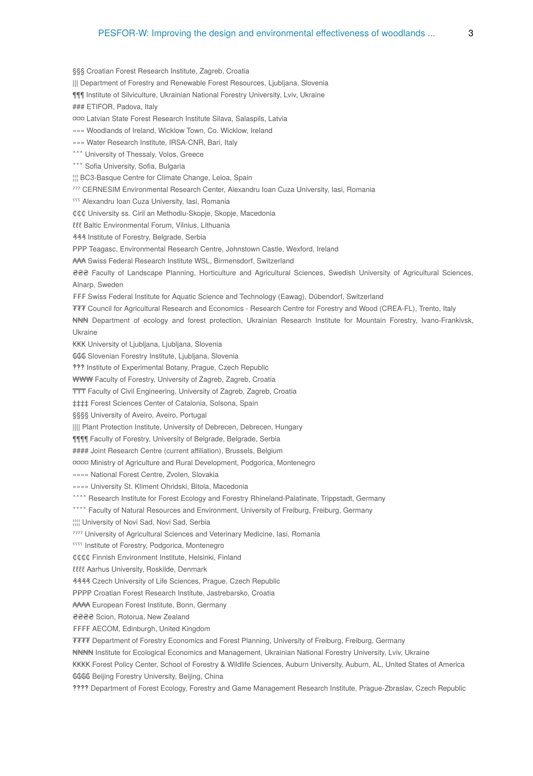§§§ Croatian Forest Research Institute, Zagreb, Croatia

||| Department of Forestry and Renewable Forest Resources, Ljubljana, Slovenia

¶¶¶ Institute of Silviculture, Ukrainian National Forestry University, Lviv, Ukraine

### ETIFOR, Padova, Italy

¤¤¤ Latvian State Forest Research Institute Silava, Salaspils, Latvia

««« Woodlands of Ireland, Wicklow Town, Co. Wicklow, Ireland

»»» Water Research Institute, IRSA-CNR, Bari, Italy

**An University of Thessaly, Volos, Greece** 

**vvv** Sofia University, Sofia, Bulgaria

¦¦¦ BC3-Basque Centre for Climate Change, Leioa, Spain

??? CERNESIM Environmental Research Center, Alexandru Ioan Cuza University, Iasi, Romania

555 Alexandru Ioan Cuza University, Iasi, Romania

₵₵₵ University ss. Ciril an Methodiu-Skopje, Skopje, Macedonia

ℓℓℓ Baltic Environmental Forum, Vilnius, Lithuania

₰₰₰ Institute of Forestry, Belgrade, Serbia

₱₱₱ Teagasc, Environmental Research Centre, Johnstown Castle, Wexford, Ireland

₳₳₳ Swiss Federal Research Institute WSL, Birmensdorf, Switzerland

₴₴₴ Faculty of Landscape Planning, Horticulture and Agricultural Sciences, Swedish University of Agricultural Sciences, Alnarp, Sweden

₣₣₣ Swiss Federal Institute for Aquatic Science and Technology (Eawag), Dübendorf, Switzerland

₮₮₮ Council for Agricultural Research and Economics - Research Centre for Forestry and Wood (CREA-FL), Trento, Italy

₦₦₦ Department of ecology and forest protection, Ukrainian Research Institute for Mountain Forestry, Ivano-Frankivsk, Ukraine

₭₭₭ University of Ljubljana, Ljubljana, Slovenia

₲₲₲ Slovenian Forestry Institute, Ljubljana, Slovenia

‽‽‽ Institute of Experimental Botany, Prague, Czech Republic

₩₩₩ Faculty of Forestry, University of Zagreb, Zagreb, Croatia

TTT Faculty of Civil Engineering, University of Zagreb, Zagreb, Croatia

‡‡‡‡ Forest Sciences Center of Catalonia, Solsona, Spain

§§§§ University of Aveiro, Aveiro, Portugal

|||| Plant Protection Institute, University of Debrecen, Debrecen, Hungary

¶¶¶¶ Faculty of Forestry, University of Belgrade, Belgrade, Serbia

#### Joint Research Centre (current affiliation), Brussels, Belgium

¤¤¤¤ Ministry of Agriculture and Rural Development, Podgorica, Montenegro

«««« National Forest Centre, Zvolen, Slovakia

»»»» University St. Kliment Ohridski, Bitola, Macedonia

\*\*\*\* Research Institute for Forest Ecology and Forestry Rhineland-Palatinate, Trippstadt, Germany

**\*\*\*\*** Faculty of Natural Resources and Environment, University of Freiburg, Freiburg, Germany

¦¦¦¦ University of Novi Sad, Novi Sad, Serbia

???? University of Agricultural Sciences and Veterinary Medicine, Iasi, Romania

**SSSS** Institute of Forestry, Podgorica, Montenegro

₵₵₵₵ Finnish Environment Institute, Helsinki, Finland

ℓℓℓℓ Aarhus University, Roskilde, Denmark

₰₰₰₰ Czech University of Life Sciences, Prague, Czech Republic

₱₱₱₱ Croatian Forest Research Institute, Jastrebarsko, Croatia

₳₳₳₳ European Forest Institute, Bonn, Germany

₴₴₴₴ Scion, Rotorua, New Zealand

₣₣₣₣ AECOM, Edinburgh, United Kingdom

₮₮₮₮ Department of Forestry Economics and Forest Planning, University of Freiburg, Freiburg, Germany

₦₦₦₦ Institute for Ecological Economics and Management, Ukrainian National Forestry University, Lviv, Ukraine

₭₭₭₭ Forest Policy Center, School of Forestry & Wildlife Sciences, Auburn University, Auburn, AL, United States of America ₲₲₲₲ Beijing Forestry University, Beijing, China

‽‽‽‽ Department of Forest Ecology, Forestry and Game Management Research Institute, Prague-Zbraslav, Czech Republic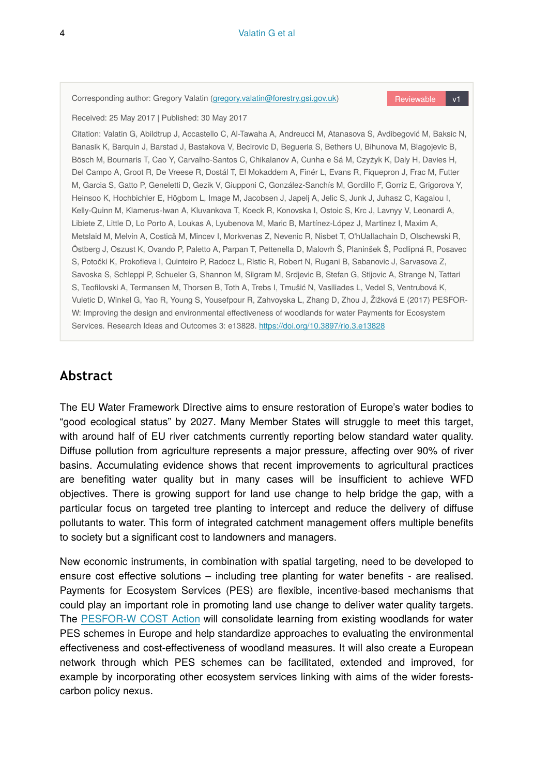Corresponding author: Gregory Valatin ([gregory.valatin@forestry.gsi.gov.uk\)](mailto:gregory.valatin@forestry.gsi.gov.uk) Reviewable v1

Received: 25 May 2017 | Published: 30 May 2017

Citation: Valatin G, Abildtrup J, Accastello C, Al-Tawaha A, Andreucci M, Atanasova S, Avdibegović M, Baksic N, Banasik K, Barquin J, Barstad J, Bastakova V, Becirovic D, Begueria S, Bethers U, Bihunova M, Blagojevic B, Bösch M, Bournaris T, Cao Y, Carvalho-Santos C, Chikalanov A, Cunha e Sá M, Czyżyk K, Daly H, Davies H, Del Campo A, Groot R, De Vreese R, Dostál T, El Mokaddem A, Finér L, Evans R, Fiquepron J, Frac M, Futter M, Garcia S, Gatto P, Geneletti D, Gezik V, Giupponi C, González-Sanchís M, Gordillo F, Gorriz E, Grigorova Y, Heinsoo K, Hochbichler E, Högbom L, Image M, Jacobsen J, Japelj A, Jelic S, Junk J, Juhasz C, Kagalou I, Kelly-Quinn M, Klamerus-Iwan A, Kluvankova T, Koeck R, Konovska I, Ostoic S, Krc J, Lavnyy V, Leonardi A, Libiete Z, Little D, Lo Porto A, Loukas A, Lyubenova M, Maric B, Martínez-López J, Martinez I, Maxim A, Metslaid M, Melvin A, Costică M, Mincev I, Morkvenas Z, Nevenic R, Nisbet T, O'hUallachain D, Olschewski R, Östberg J, Oszust K, Ovando P, Paletto A, Parpan T, Pettenella D, Malovrh Š, Planinšek Š, Podlipná R, Posavec S, Potočki K, Prokofieva I, Quinteiro P, Radocz L, Ristic R, Robert N, Rugani B, Sabanovic J, Sarvasova Z, Savoska S, Schleppi P, Schueler G, Shannon M, Silgram M, Srdjevic B, Stefan G, Stijovic A, Strange N, Tattari S, Teofilovski A, Termansen M, Thorsen B, Toth A, Trebs I, Tmušić N, Vasiliades L, Vedel S, Ventrubová K, Vuletic D, Winkel G, Yao R, Young S, Yousefpour R, Zahvoyska L, Zhang D, Zhou J, Žižková E (2017) PESFOR-W: Improving the design and environmental effectiveness of woodlands for water Payments for Ecosystem Services. Research Ideas and Outcomes 3: e13828.<https://doi.org/10.3897/rio.3.e13828>

## **Abstract**

The EU Water Framework Directive aims to ensure restoration of Europe's water bodies to "good ecological status" by 2027. Many Member States will struggle to meet this target, with around half of EU river catchments currently reporting below standard water quality. Diffuse pollution from agriculture represents a major pressure, affecting over 90% of river basins. Accumulating evidence shows that recent improvements to agricultural practices are benefiting water quality but in many cases will be insufficient to achieve WFD objectives. There is growing support for land use change to help bridge the gap, with a particular focus on targeted tree planting to intercept and reduce the delivery of diffuse pollutants to water. This form of integrated catchment management offers multiple benefits to society but a significant cost to landowners and managers.

New economic instruments, in combination with spatial targeting, need to be developed to ensure cost effective solutions – including tree planting for water benefits - are realised. Payments for Ecosystem Services (PES) are flexible, incentive-based mechanisms that could play an important role in promoting land use change to deliver water quality targets. The [PESFOR-W COST Action](https://www.forestry.gov.uk/fr/pesforw) will consolidate learning from existing woodlands for water PES schemes in Europe and help standardize approaches to evaluating the environmental effectiveness and cost-effectiveness of woodland measures. It will also create a European network through which PES schemes can be facilitated, extended and improved, for example by incorporating other ecosystem services linking with aims of the wider forestscarbon policy nexus.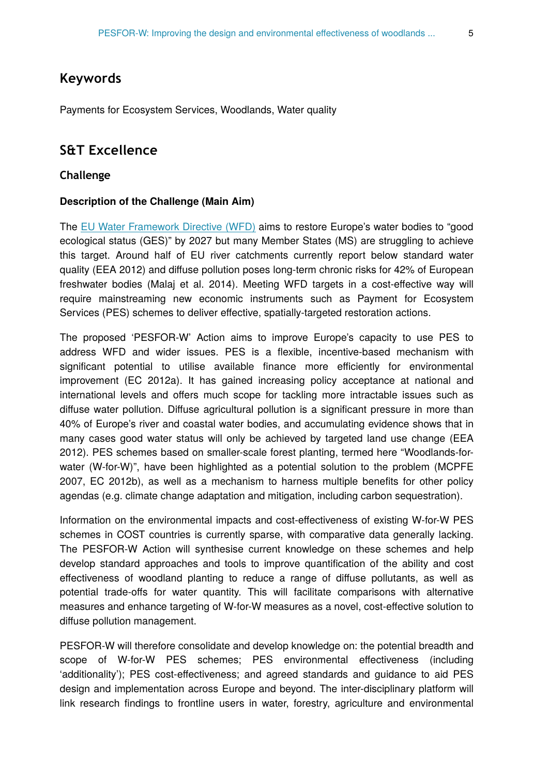## **Keywords**

Payments for Ecosystem Services, Woodlands, Water quality

## **S&T Excellence**

#### **Challenge**

#### **Description of the Challenge (Main Aim)**

The [EU Water Framework Directive \(WFD\)](http://ec.europa.eu/environment/water/water-framework/index_en.html) aims to restore Europe's water bodies to "good ecological status (GES)" by 2027 but many Member States (MS) are struggling to achieve this target. Around half of EU river catchments currently report below standard water quality (EEA 2012) and diffuse pollution poses long-term chronic risks for 42% of European freshwater bodies (Malaj et al. 2014). Meeting WFD targets in a cost-effective way will require mainstreaming new economic instruments such as Payment for Ecosystem Services (PES) schemes to deliver effective, spatially-targeted restoration actions.

The proposed 'PESFOR-W' Action aims to improve Europe's capacity to use PES to address WFD and wider issues. PES is a flexible, incentive-based mechanism with significant potential to utilise available finance more efficiently for environmental improvement (EC 2012a). It has gained increasing policy acceptance at national and international levels and offers much scope for tackling more intractable issues such as diffuse water pollution. Diffuse agricultural pollution is a significant pressure in more than 40% of Europe's river and coastal water bodies, and accumulating evidence shows that in many cases good water status will only be achieved by targeted land use change (EEA 2012). PES schemes based on smaller-scale forest planting, termed here "Woodlands-forwater (W-for-W)", have been highlighted as a potential solution to the problem (MCPFE 2007, EC 2012b), as well as a mechanism to harness multiple benefits for other policy agendas (e.g. climate change adaptation and mitigation, including carbon sequestration).

Information on the environmental impacts and cost-effectiveness of existing W-for-W PES schemes in COST countries is currently sparse, with comparative data generally lacking. The PESFOR-W Action will synthesise current knowledge on these schemes and help develop standard approaches and tools to improve quantification of the ability and cost effectiveness of woodland planting to reduce a range of diffuse pollutants, as well as potential trade-offs for water quantity. This will facilitate comparisons with alternative measures and enhance targeting of W-for-W measures as a novel, cost-effective solution to diffuse pollution management.

PESFOR-W will therefore consolidate and develop knowledge on: the potential breadth and scope of W-for-W PES schemes; PES environmental effectiveness (including 'additionality'); PES cost-effectiveness; and agreed standards and guidance to aid PES design and implementation across Europe and beyond. The inter-disciplinary platform will link research findings to frontline users in water, forestry, agriculture and environmental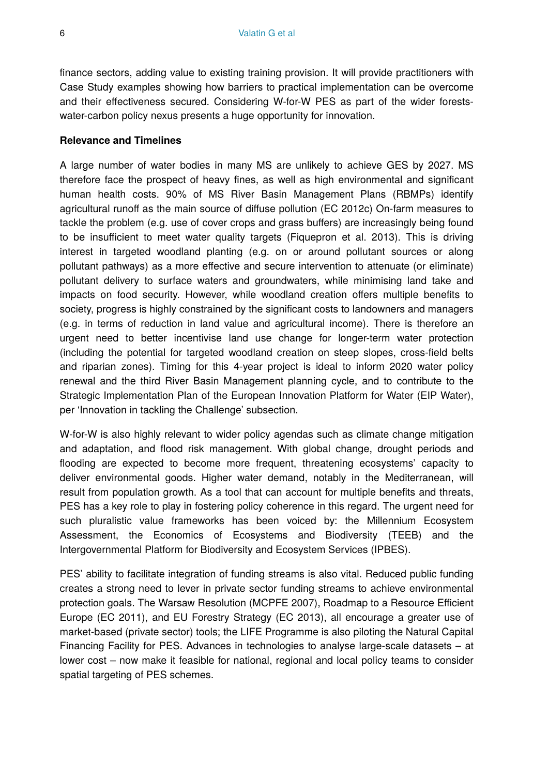finance sectors, adding value to existing training provision. It will provide practitioners with Case Study examples showing how barriers to practical implementation can be overcome and their effectiveness secured. Considering W-for-W PES as part of the wider forestswater-carbon policy nexus presents a huge opportunity for innovation.

#### **Relevance and Timelines**

A large number of water bodies in many MS are unlikely to achieve GES by 2027. MS therefore face the prospect of heavy fines, as well as high environmental and significant human health costs. 90% of MS River Basin Management Plans (RBMPs) identify agricultural runoff as the main source of diffuse pollution (EC 2012c) On-farm measures to tackle the problem (e.g. use of cover crops and grass buffers) are increasingly being found to be insufficient to meet water quality targets (Fiquepron et al. 2013). This is driving interest in targeted woodland planting (e.g. on or around pollutant sources or along pollutant pathways) as a more effective and secure intervention to attenuate (or eliminate) pollutant delivery to surface waters and groundwaters, while minimising land take and impacts on food security. However, while woodland creation offers multiple benefits to society, progress is highly constrained by the significant costs to landowners and managers (e.g. in terms of reduction in land value and agricultural income). There is therefore an urgent need to better incentivise land use change for longer-term water protection (including the potential for targeted woodland creation on steep slopes, cross-field belts and riparian zones). Timing for this 4-year project is ideal to inform 2020 water policy renewal and the third River Basin Management planning cycle, and to contribute to the Strategic Implementation Plan of the European Innovation Platform for Water (EIP Water), per 'Innovation in tackling the Challenge' subsection.

W-for-W is also highly relevant to wider policy agendas such as climate change mitigation and adaptation, and flood risk management. With global change, drought periods and flooding are expected to become more frequent, threatening ecosystems' capacity to deliver environmental goods. Higher water demand, notably in the Mediterranean, will result from population growth. As a tool that can account for multiple benefits and threats, PES has a key role to play in fostering policy coherence in this regard. The urgent need for such pluralistic value frameworks has been voiced by: the Millennium Ecosystem Assessment, the Economics of Ecosystems and Biodiversity (TEEB) and the Intergovernmental Platform for Biodiversity and Ecosystem Services (IPBES).

PES' ability to facilitate integration of funding streams is also vital. Reduced public funding creates a strong need to lever in private sector funding streams to achieve environmental protection goals. The Warsaw Resolution (MCPFE 2007), Roadmap to a Resource Efficient Europe (EC 2011), and EU Forestry Strategy (EC 2013), all encourage a greater use of market-based (private sector) tools; the LIFE Programme is also piloting the Natural Capital Financing Facility for PES. Advances in technologies to analyse large-scale datasets – at lower cost – now make it feasible for national, regional and local policy teams to consider spatial targeting of PES schemes.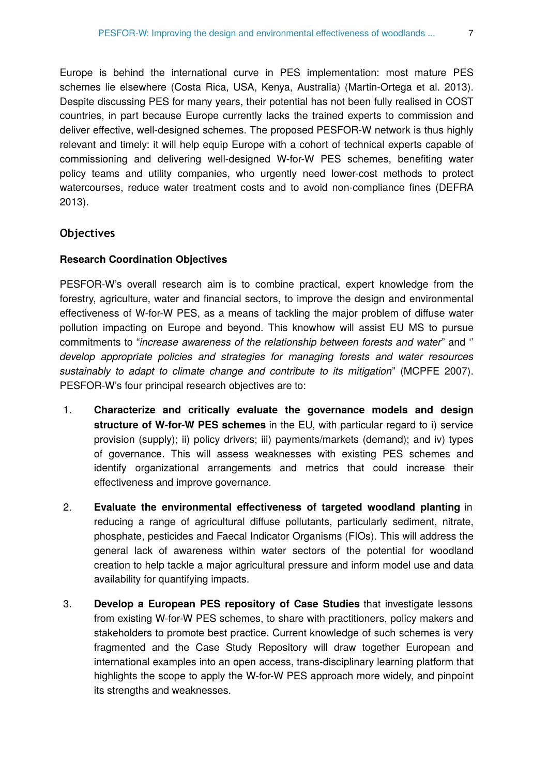Europe is behind the international curve in PES implementation: most mature PES schemes lie elsewhere (Costa Rica, USA, Kenya, Australia) (Martin-Ortega et al. 2013). Despite discussing PES for many years, their potential has not been fully realised in COST countries, in part because Europe currently lacks the trained experts to commission and deliver effective, well-designed schemes. The proposed PESFOR-W network is thus highly relevant and timely: it will help equip Europe with a cohort of technical experts capable of commissioning and delivering well-designed W-for-W PES schemes, benefiting water policy teams and utility companies, who urgently need lower-cost methods to protect watercourses, reduce water treatment costs and to avoid non-compliance fines (DEFRA 2013).

#### **Objectives**

#### **Research Coordination Objectives**

PESFOR-W's overall research aim is to combine practical, expert knowledge from the forestry, agriculture, water and financial sectors, to improve the design and environmental effectiveness of W-for-W PES, as a means of tackling the major problem of diffuse water pollution impacting on Europe and beyond. This knowhow will assist EU MS to pursue commitments to "*increase awareness of the relationship between forests and water*" and '' *develop appropriate policies and strategies for managing forests and water resources sustainably to adapt to climate change and contribute to its mitigation*" (MCPFE 2007). PESFOR-W's four principal research objectives are to:

- 1. **Characterize and critically evaluate the governance models and design structure of W-for-W PES schemes** in the EU, with particular regard to i) service provision (supply); ii) policy drivers; iii) payments/markets (demand); and iv) types of governance. This will assess weaknesses with existing PES schemes and identify organizational arrangements and metrics that could increase their effectiveness and improve governance.
- 2. **Evaluate the environmental effectiveness of targeted woodland planting** in reducing a range of agricultural diffuse pollutants, particularly sediment, nitrate, phosphate, pesticides and Faecal Indicator Organisms (FIOs). This will address the general lack of awareness within water sectors of the potential for woodland creation to help tackle a major agricultural pressure and inform model use and data availability for quantifying impacts.
- 3. **Develop a European PES repository of Case Studies** that investigate lessons from existing W-for-W PES schemes, to share with practitioners, policy makers and stakeholders to promote best practice. Current knowledge of such schemes is very fragmented and the Case Study Repository will draw together European and international examples into an open access, trans-disciplinary learning platform that highlights the scope to apply the W-for-W PES approach more widely, and pinpoint its strengths and weaknesses.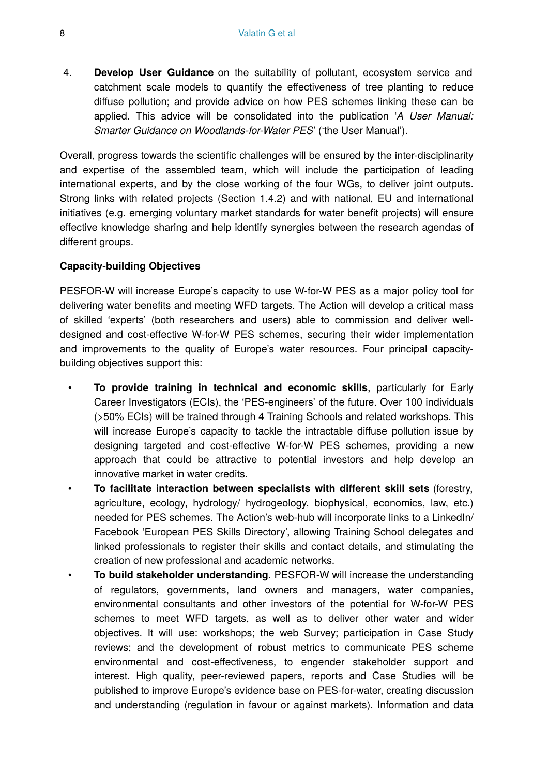4. **Develop User Guidance** on the suitability of pollutant, ecosystem service and catchment scale models to quantify the effectiveness of tree planting to reduce diffuse pollution; and provide advice on how PES schemes linking these can be applied. This advice will be consolidated into the publication '*A User Manual: Smarter Guidance on Woodlands-for-Water PES*' ('the User Manual').

Overall, progress towards the scientific challenges will be ensured by the inter-disciplinarity and expertise of the assembled team, which will include the participation of leading international experts, and by the close working of the four WGs, to deliver joint outputs. Strong links with related projects (Section 1.4.2) and with national, EU and international initiatives (e.g. emerging voluntary market standards for water benefit projects) will ensure effective knowledge sharing and help identify synergies between the research agendas of different groups.

#### **Capacity-building Objectives**

PESFOR-W will increase Europe's capacity to use W-for-W PES as a major policy tool for delivering water benefits and meeting WFD targets. The Action will develop a critical mass of skilled 'experts' (both researchers and users) able to commission and deliver welldesigned and cost-effective W-for-W PES schemes, securing their wider implementation and improvements to the quality of Europe's water resources. Four principal capacitybuilding objectives support this:

- **To provide training in technical and economic skills**, particularly for Early Career Investigators (ECIs), the 'PES-engineers' of the future. Over 100 individuals (>50% ECIs) will be trained through 4 Training Schools and related workshops. This will increase Europe's capacity to tackle the intractable diffuse pollution issue by designing targeted and cost-effective W-for-W PES schemes, providing a new approach that could be attractive to potential investors and help develop an innovative market in water credits.
- **To facilitate interaction between specialists with different skill sets** (forestry, agriculture, ecology, hydrology/ hydrogeology, biophysical, economics, law, etc.) needed for PES schemes. The Action's web-hub will incorporate links to a LinkedIn/ Facebook 'European PES Skills Directory', allowing Training School delegates and linked professionals to register their skills and contact details, and stimulating the creation of new professional and academic networks.
- **To build stakeholder understanding**. PESFOR-W will increase the understanding of regulators, governments, land owners and managers, water companies, environmental consultants and other investors of the potential for W-for-W PES schemes to meet WFD targets, as well as to deliver other water and wider objectives. It will use: workshops; the web Survey; participation in Case Study reviews; and the development of robust metrics to communicate PES scheme environmental and cost-effectiveness, to engender stakeholder support and interest. High quality, peer-reviewed papers, reports and Case Studies will be published to improve Europe's evidence base on PES-for-water, creating discussion and understanding (regulation in favour or against markets). Information and data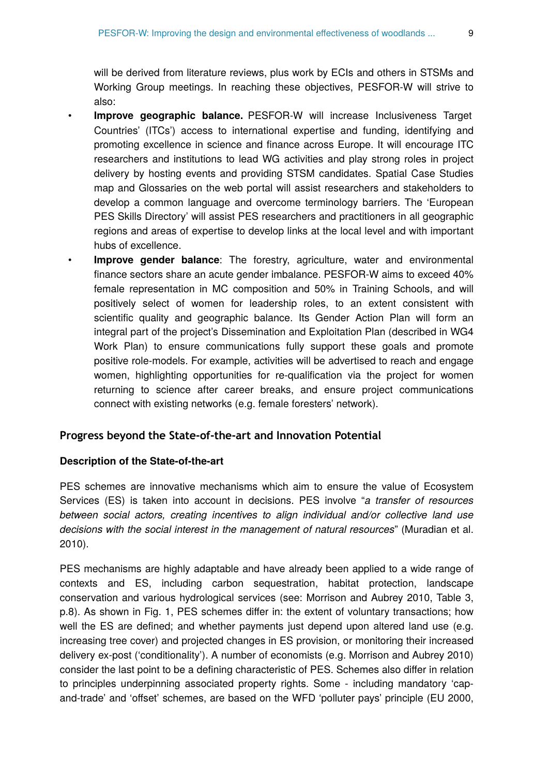will be derived from literature reviews, plus work by ECIs and others in STSMs and Working Group meetings. In reaching these objectives, PESFOR-W will strive to also:

- **Improve geographic balance.** PESFOR-W will increase Inclusiveness Target Countries' (ITCs') access to international expertise and funding, identifying and promoting excellence in science and finance across Europe. It will encourage ITC researchers and institutions to lead WG activities and play strong roles in project delivery by hosting events and providing STSM candidates. Spatial Case Studies map and Glossaries on the web portal will assist researchers and stakeholders to develop a common language and overcome terminology barriers. The 'European PES Skills Directory' will assist PES researchers and practitioners in all geographic regions and areas of expertise to develop links at the local level and with important hubs of excellence.
- **Improve gender balance**: The forestry, agriculture, water and environmental finance sectors share an acute gender imbalance. PESFOR-W aims to exceed 40% female representation in MC composition and 50% in Training Schools, and will positively select of women for leadership roles, to an extent consistent with scientific quality and geographic balance. Its Gender Action Plan will form an integral part of the project's Dissemination and Exploitation Plan (described in WG4 Work Plan) to ensure communications fully support these goals and promote positive role-models. For example, activities will be advertised to reach and engage women, highlighting opportunities for re-qualification via the project for women returning to science after career breaks, and ensure project communications connect with existing networks (e.g. female foresters' network).

#### **Progress beyond the State-of-the-art and Innovation Potential**

#### **Description of the State-of-the-art**

PES schemes are innovative mechanisms which aim to ensure the value of Ecosystem Services (ES) is taken into account in decisions. PES involve "*a transfer of resources between social actors, creating incentives to align individual and/or collective land use decisions with the social interest in the management of natural resources*" (Muradian et al. 2010).

PES mechanisms are highly adaptable and have already been applied to a wide range of contexts and ES, including carbon sequestration, habitat protection, landscape conservation and various hydrological services (see: Morrison and Aubrey 2010, Table 3, p.8). As shown in Fig. 1, PES schemes differ in: the extent of voluntary transactions; how well the ES are defined; and whether payments just depend upon altered land use (e.g. increasing tree cover) and projected changes in ES provision, or monitoring their increased delivery ex-post ('conditionality'). A number of economists (e.g. Morrison and Aubrey 2010) consider the last point to be a defining characteristic of PES. Schemes also differ in relation to principles underpinning associated property rights. Some - including mandatory 'capand-trade' and 'offset' schemes, are based on the WFD 'polluter pays' principle (EU 2000,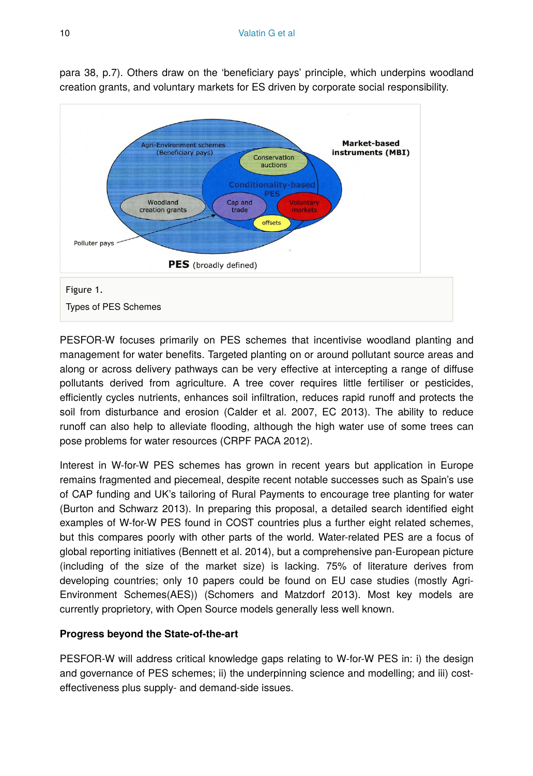

para 38, p.7). Others draw on the 'beneficiary pays' principle, which underpins woodland creation grants, and voluntary markets for ES driven by corporate social responsibility.

PESFOR-W focuses primarily on PES schemes that incentivise woodland planting and management for water benefits. Targeted planting on or around pollutant source areas and along or across delivery pathways can be very effective at intercepting a range of diffuse pollutants derived from agriculture. A tree cover requires little fertiliser or pesticides, efficiently cycles nutrients, enhances soil infiltration, reduces rapid runoff and protects the soil from disturbance and erosion (Calder et al. 2007, EC 2013). The ability to reduce runoff can also help to alleviate flooding, although the high water use of some trees can pose problems for water resources (CRPF PACA 2012).

Interest in W-for-W PES schemes has grown in recent years but application in Europe remains fragmented and piecemeal, despite recent notable successes such as Spain's use of CAP funding and UK's tailoring of Rural Payments to encourage tree planting for water (Burton and Schwarz 2013). In preparing this proposal, a detailed search identified eight examples of W-for-W PES found in COST countries plus a further eight related schemes, but this compares poorly with other parts of the world. Water-related PES are a focus of global reporting initiatives (Bennett et al. 2014), but a comprehensive pan-European picture (including of the size of the market size) is lacking. 75% of literature derives from developing countries; only 10 papers could be found on EU case studies (mostly Agri-Environment Schemes(AES)) (Schomers and Matzdorf 2013). Most key models are currently proprietory, with Open Source models generally less well known.

#### **Progress beyond the State-of-the-art**

PESFOR-W will address critical knowledge gaps relating to W-for-W PES in: i) the design and governance of PES schemes; ii) the underpinning science and modelling; and iii) costeffectiveness plus supply- and demand-side issues.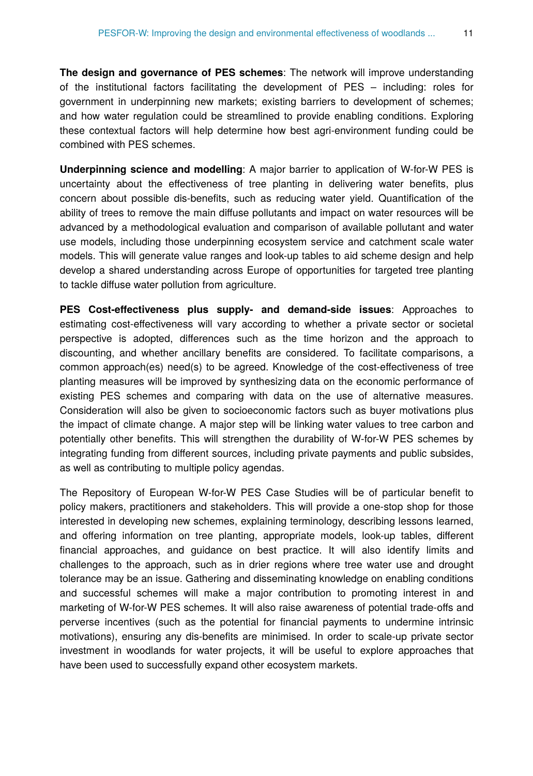**The design and governance of PES schemes**: The network will improve understanding of the institutional factors facilitating the development of PES – including: roles for government in underpinning new markets; existing barriers to development of schemes; and how water regulation could be streamlined to provide enabling conditions. Exploring these contextual factors will help determine how best agri-environment funding could be combined with PES schemes.

**Underpinning science and modelling**: A major barrier to application of W-for-W PES is uncertainty about the effectiveness of tree planting in delivering water benefits, plus concern about possible dis-benefits, such as reducing water yield. Quantification of the ability of trees to remove the main diffuse pollutants and impact on water resources will be advanced by a methodological evaluation and comparison of available pollutant and water use models, including those underpinning ecosystem service and catchment scale water models. This will generate value ranges and look-up tables to aid scheme design and help develop a shared understanding across Europe of opportunities for targeted tree planting to tackle diffuse water pollution from agriculture.

**PES Cost-effectiveness plus supply- and demand-side issues**: Approaches to estimating cost-effectiveness will vary according to whether a private sector or societal perspective is adopted, differences such as the time horizon and the approach to discounting, and whether ancillary benefits are considered. To facilitate comparisons, a common approach(es) need(s) to be agreed. Knowledge of the cost-effectiveness of tree planting measures will be improved by synthesizing data on the economic performance of existing PES schemes and comparing with data on the use of alternative measures. Consideration will also be given to socioeconomic factors such as buyer motivations plus the impact of climate change. A major step will be linking water values to tree carbon and potentially other benefits. This will strengthen the durability of W-for-W PES schemes by integrating funding from different sources, including private payments and public subsides, as well as contributing to multiple policy agendas.

The Repository of European W-for-W PES Case Studies will be of particular benefit to policy makers, practitioners and stakeholders. This will provide a one-stop shop for those interested in developing new schemes, explaining terminology, describing lessons learned, and offering information on tree planting, appropriate models, look-up tables, different financial approaches, and guidance on best practice. It will also identify limits and challenges to the approach, such as in drier regions where tree water use and drought tolerance may be an issue. Gathering and disseminating knowledge on enabling conditions and successful schemes will make a major contribution to promoting interest in and marketing of W-for-W PES schemes. It will also raise awareness of potential trade-offs and perverse incentives (such as the potential for financial payments to undermine intrinsic motivations), ensuring any dis-benefits are minimised. In order to scale-up private sector investment in woodlands for water projects, it will be useful to explore approaches that have been used to successfully expand other ecosystem markets.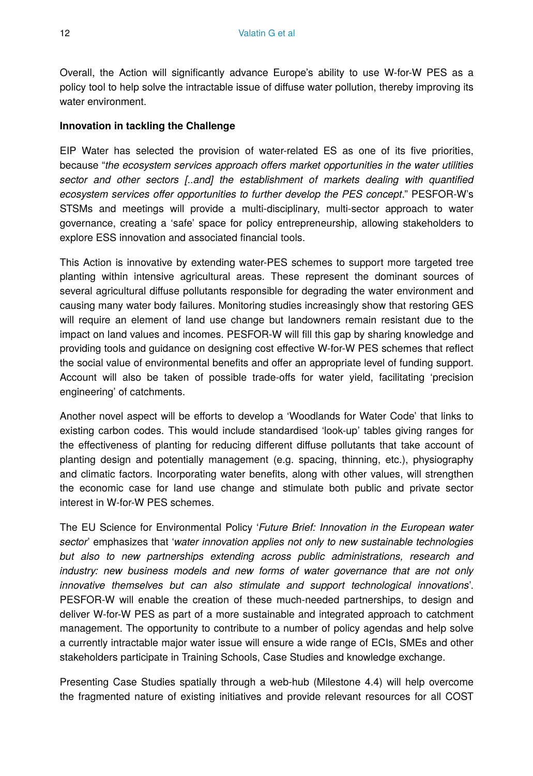Overall, the Action will significantly advance Europe's ability to use W-for-W PES as a policy tool to help solve the intractable issue of diffuse water pollution, thereby improving its water environment.

#### **Innovation in tackling the Challenge**

EIP Water has selected the provision of water-related ES as one of its five priorities, because "*the ecosystem services approach offers market opportunities in the water utilities sector and other sectors [..and] the establishment of markets dealing with quantified ecosystem services offer opportunities to further develop the PES concept*." PESFOR-W's STSMs and meetings will provide a multi-disciplinary, multi-sector approach to water governance, creating a 'safe' space for policy entrepreneurship, allowing stakeholders to explore ESS innovation and associated financial tools.

This Action is innovative by extending water-PES schemes to support more targeted tree planting within intensive agricultural areas. These represent the dominant sources of several agricultural diffuse pollutants responsible for degrading the water environment and causing many water body failures. Monitoring studies increasingly show that restoring GES will require an element of land use change but landowners remain resistant due to the impact on land values and incomes. PESFOR-W will fill this gap by sharing knowledge and providing tools and guidance on designing cost effective W-for-W PES schemes that reflect the social value of environmental benefits and offer an appropriate level of funding support. Account will also be taken of possible trade-offs for water yield, facilitating 'precision engineering' of catchments.

Another novel aspect will be efforts to develop a 'Woodlands for Water Code' that links to existing carbon codes. This would include standardised 'look-up' tables giving ranges for the effectiveness of planting for reducing different diffuse pollutants that take account of planting design and potentially management (e.g. spacing, thinning, etc.), physiography and climatic factors. Incorporating water benefits, along with other values, will strengthen the economic case for land use change and stimulate both public and private sector interest in W-for-W PES schemes.

The EU Science for Environmental Policy '*Future Brief: Innovation in the European water sector*' emphasizes that '*water innovation applies not only to new sustainable technologies but also to new partnerships extending across public administrations, research and industry: new business models and new forms of water governance that are not only innovative themselves but can also stimulate and support technological innovations*'. PESFOR-W will enable the creation of these much-needed partnerships, to design and deliver W-for-W PES as part of a more sustainable and integrated approach to catchment management. The opportunity to contribute to a number of policy agendas and help solve a currently intractable major water issue will ensure a wide range of ECIs, SMEs and other stakeholders participate in Training Schools, Case Studies and knowledge exchange.

Presenting Case Studies spatially through a web-hub (Milestone 4.4) will help overcome the fragmented nature of existing initiatives and provide relevant resources for all COST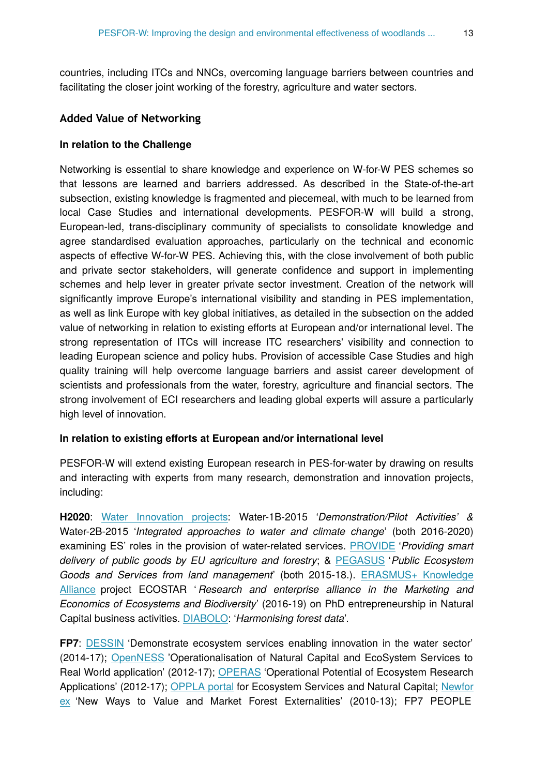countries, including ITCs and NNCs, overcoming language barriers between countries and facilitating the closer joint working of the forestry, agriculture and water sectors.

#### **Added Value of Networking**

#### **In relation to the Challenge**

Networking is essential to share knowledge and experience on W-for-W PES schemes so that lessons are learned and barriers addressed. As described in the State-of-the-art subsection, existing knowledge is fragmented and piecemeal, with much to be learned from local Case Studies and international developments. PESFOR-W will build a strong, European-led, trans-disciplinary community of specialists to consolidate knowledge and agree standardised evaluation approaches, particularly on the technical and economic aspects of effective W-for-W PES. Achieving this, with the close involvement of both public and private sector stakeholders, will generate confidence and support in implementing schemes and help lever in greater private sector investment. Creation of the network will significantly improve Europe's international visibility and standing in PES implementation, as well as link Europe with key global initiatives, as detailed in the subsection on the added value of networking in relation to existing efforts at European and/or international level. The strong representation of ITCs will increase ITC researchers' visibility and connection to leading European science and policy hubs. Provision of accessible Case Studies and high quality training will help overcome language barriers and assist career development of scientists and professionals from the water, forestry, agriculture and financial sectors. The strong involvement of ECI researchers and leading global experts will assure a particularly high level of innovation.

#### **In relation to existing efforts at European and/or international level**

PESFOR-W will extend existing European research in PES-for-water by drawing on results and interacting with experts from many research, demonstration and innovation projects, including:

**H2020**: [Water Innovation projects:](http://ec.europa.eu/research/participants/portal/desktop/en/opportunities/h2020/calls/h2020-water-2015-two-stage.html) Water-1B-2015 '*Demonstration/Pilot Activities' &* Water-2B-2015 '*Integrated approaches to water and climate change*' (both 2016-2020) examining ES' roles in the provision of water-related services. [PROVIDE](http://cordis.europa.eu/project/rcn/197077_en.html) '*Providing smart delivery of public goods by EU agriculture and forestry*; & [PEGASUS](http://www.ieep.eu/news/2015/05/eu-research-project-pegasus-new-thinking-on-sustainable-land-management--1434) '*Public Ecosystem Goods and Services from land management*' (both 2015-18.). [ERASMUS+ Knowledge](https://eacea.ec.europa.eu/sites/eacea-site/files/ka_selection_results_2015.pdf) [Alliance](https://eacea.ec.europa.eu/sites/eacea-site/files/ka_selection_results_2015.pdf) project ECOSTAR ' *Research and enterprise alliance in the Marketing and Economics of Ecosystems and Biodiversity*' (2016-19) on PhD entrepreneurship in Natural Capital business activities. [DIABOLO](http://riojournal.com/../../nirobert/AppData/Local/Temp/diabolo-project.eu): '*Harmonising forest data*'.

**FP7**: [DESSIN](http://www.dessin-project.eu) 'Demonstrate ecosystem services enabling innovation in the water sector' (2014-17); [OpenNESS](http://www.openness-project.eu) 'Operationalisation of Natural Capital and EcoSystem Services to Real World application' (2012-17); [OPERAS](http://www.operas-project.eu) 'Operational Potential of Ecosystem Research Applications' (2012-17); [OPPLA portal](http://www.oppla.eu) for Ecosystem Services and Natural Capital; [Newfor](http://www.newforex.org/) [ex](http://www.newforex.org/) 'New Ways to Value and Market Forest Externalities' (2010-13); FP7 PEOPLE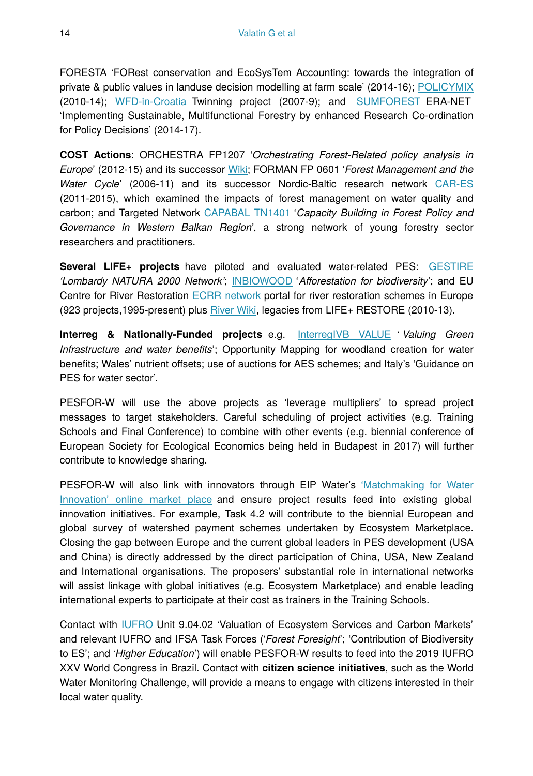FORESTA 'FORest conservation and EcoSysTem Accounting: towards the integration of private & public values in landuse decision modelling at farm scale' (2014-16); [POLICYMIX](http://policymix.nina.no/) (2010-14); [WFD-in-Croatia](http://www.wfd-croatia.eu) Twinning project (2007-9); and [SUMFOREST](https://www.sumforest.org/) ERA-NET 'Implementing Sustainable, Multifunctional Forestry by enhanced Research Co-ordination for Policy Decisions' (2014-17).

**COST Actions**: ORCHESTRA FP1207 '*Orchestrating Forest-Related policy analysis in Europe*' (2012-15) and its successor [Wiki](https://wiki.metla.fi/display/OR/ORCHESTRA+Home); FORMAN FP 0601 '*Forest Management and the Water Cycle*' (2006-11) and its successor Nordic-Baltic research network [CAR-ES](http://www.nordicforestresearch.org/car-es/) (2011-2015), which examined the impacts of forest management on water quality and carbon; and Targeted Network [CAPABAL TN1401](https://www.facebook.com/capabal) '*Capacity Building in Forest Policy and Governance in Western Balkan Region*', a strong network of young forestry sector researchers and practitioners.

**Several LIFE+ projects** have piloted and evaluated water-related PES: [GESTIRE](http://www.life-gestire.eu/en1_index.aspx) *'Lombardy NATURA 2000 Network'*; [INBIOWOOD](http://www.inbiowood.eu/en/http:/www.inbiowood.eu/en/) '*Afforestation for biodiversity*'; and EU Centre for River Restoration [ECRR network](http://www.ecrr.org/) portal for river restoration schemes in Europe (923 projects,1995-present) plus [River Wiki,](https://restorerivers.eu/) legacies from LIFE+ RESTORE (2010-13).

**Interreg & Nationally-Funded projects** e.g. [InterregIVB VALUE](http://www.value-and.com/) ' *Valuing Green Infrastructure and water benefits*'; Opportunity Mapping for woodland creation for water benefits; Wales' nutrient offsets; use of auctions for AES schemes; and Italy's 'Guidance on PES for water sector'.

PESFOR-W will use the above projects as 'leverage multipliers' to spread project messages to target stakeholders. Careful scheduling of project activities (e.g. Training Schools and Final Conference) to combine with other events (e.g. biennial conference of European Society for Ecological Economics being held in Budapest in 2017) will further contribute to knowledge sharing.

PESFOR-W will also link with innovators through EIP Water's ['Matchmaking for Water](http://www.eip-water.eu/about) [Innovation' online market place](http://www.eip-water.eu/about) and ensure project results feed into existing global innovation initiatives. For example, Task 4.2 will contribute to the biennial European and global survey of watershed payment schemes undertaken by Ecosystem Marketplace. Closing the gap between Europe and the current global leaders in PES development (USA and China) is directly addressed by the direct participation of China, USA, New Zealand and International organisations. The proposers' substantial role in international networks will assist linkage with global initiatives (e.g. Ecosystem Marketplace) and enable leading international experts to participate at their cost as trainers in the Training Schools.

Contact with [IUFRO](http://www.iufro.org) Unit 9.04.02 'Valuation of Ecosystem Services and Carbon Markets' and relevant IUFRO and IFSA Task Forces ('*Forest Foresight*'; 'Contribution of Biodiversity to ES'; and '*Higher Education*') will enable PESFOR-W results to feed into the 2019 IUFRO XXV World Congress in Brazil. Contact with **citizen science initiatives**, such as the World Water Monitoring Challenge, will provide a means to engage with citizens interested in their local water quality.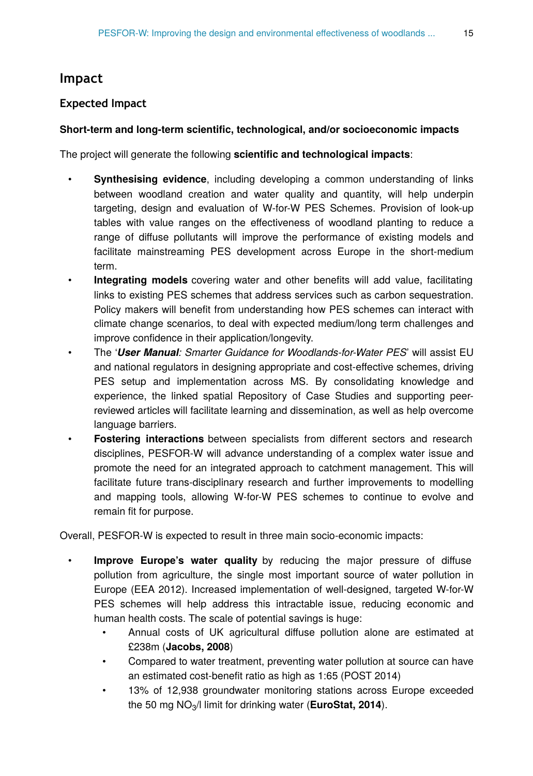## **Impact**

## **Expected Impact**

#### **Short-term and long-term scientific, technological, and/or socioeconomic impacts**

The project will generate the following **scientific and technological impacts**:

- **Synthesising evidence**, including developing a common understanding of links between woodland creation and water quality and quantity, will help underpin targeting, design and evaluation of W-for-W PES Schemes. Provision of look-up tables with value ranges on the effectiveness of woodland planting to reduce a range of diffuse pollutants will improve the performance of existing models and facilitate mainstreaming PES development across Europe in the short-medium term.
- **Integrating models** covering water and other benefits will add value, facilitating links to existing PES schemes that address services such as carbon sequestration. Policy makers will benefit from understanding how PES schemes can interact with climate change scenarios, to deal with expected medium/long term challenges and improve confidence in their application/longevity.
- The '*User Manual: Smarter Guidance for Woodlands-for-Water PES*' will assist EU and national regulators in designing appropriate and cost-effective schemes, driving PES setup and implementation across MS. By consolidating knowledge and experience, the linked spatial Repository of Case Studies and supporting peerreviewed articles will facilitate learning and dissemination, as well as help overcome language barriers.
- **Fostering interactions** between specialists from different sectors and research disciplines, PESFOR-W will advance understanding of a complex water issue and promote the need for an integrated approach to catchment management. This will facilitate future trans-disciplinary research and further improvements to modelling and mapping tools, allowing W-for-W PES schemes to continue to evolve and remain fit for purpose.

Overall, PESFOR-W is expected to result in three main socio-economic impacts:

- **Improve Europe's water quality** by reducing the major pressure of diffuse pollution from agriculture, the single most important source of water pollution in Europe (EEA 2012). Increased implementation of well-designed, targeted W-for-W PES schemes will help address this intractable issue, reducing economic and human health costs. The scale of potential savings is huge:
	- Annual costs of UK agricultural diffuse pollution alone are estimated at £238m (**Jacobs, 2008**)
	- Compared to water treatment, preventing water pollution at source can have an estimated cost-benefit ratio as high as 1:65 (POST 2014)
	- 13% of 12,938 groundwater monitoring stations across Europe exceeded the 50 mg  $NO<sub>3</sub>/l$  limit for drinking water (**EuroStat, 2014**).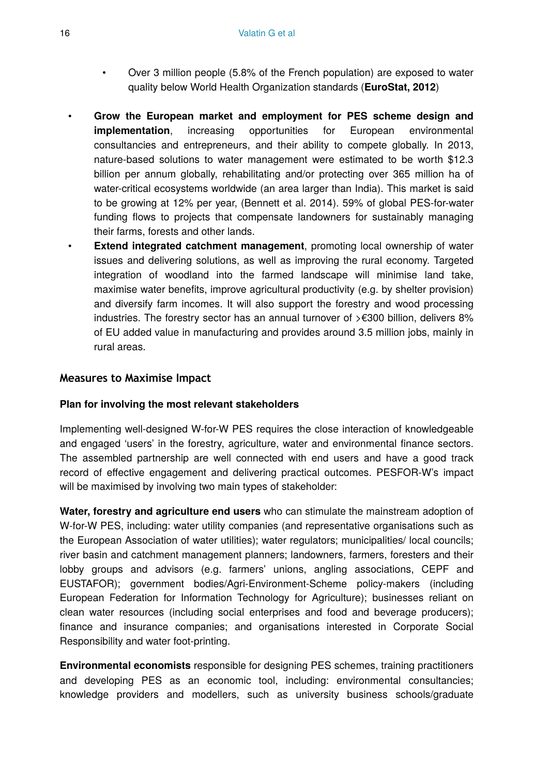- Over 3 million people (5.8% of the French population) are exposed to water quality below World Health Organization standards (**EuroStat, 2012**)
- **Grow the European market and employment for PES scheme design and implementation**, increasing opportunities for European environmental consultancies and entrepreneurs, and their ability to compete globally. In 2013, nature-based solutions to water management were estimated to be worth \$12.3 billion per annum globally, rehabilitating and/or protecting over 365 million ha of water-critical ecosystems worldwide (an area larger than India). This market is said to be growing at 12% per year, (Bennett et al. 2014). 59% of global PES-for-water funding flows to projects that compensate landowners for sustainably managing their farms, forests and other lands.
- **Extend integrated catchment management**, promoting local ownership of water issues and delivering solutions, as well as improving the rural economy. Targeted integration of woodland into the farmed landscape will minimise land take, maximise water benefits, improve agricultural productivity (e.g. by shelter provision) and diversify farm incomes. It will also support the forestry and wood processing industries. The forestry sector has an annual turnover of >€300 billion, delivers 8% of EU added value in manufacturing and provides around 3.5 million jobs, mainly in rural areas.

#### **Measures to Maximise Impact**

#### **Plan for involving the most relevant stakeholders**

Implementing well-designed W-for-W PES requires the close interaction of knowledgeable and engaged 'users' in the forestry, agriculture, water and environmental finance sectors. The assembled partnership are well connected with end users and have a good track record of effective engagement and delivering practical outcomes. PESFOR-W's impact will be maximised by involving two main types of stakeholder:

**Water, forestry and agriculture end users** who can stimulate the mainstream adoption of W-for-W PES, including: water utility companies (and representative organisations such as the European Association of water utilities); water regulators; municipalities/ local councils; river basin and catchment management planners; landowners, farmers, foresters and their lobby groups and advisors (e.g. farmers' unions, angling associations, CEPF and EUSTAFOR); government bodies/Agri-Environment-Scheme policy-makers (including European Federation for Information Technology for Agriculture); businesses reliant on clean water resources (including social enterprises and food and beverage producers); finance and insurance companies; and organisations interested in Corporate Social Responsibility and water foot-printing.

**Environmental economists** responsible for designing PES schemes, training practitioners and developing PES as an economic tool, including: environmental consultancies; knowledge providers and modellers, such as university business schools/graduate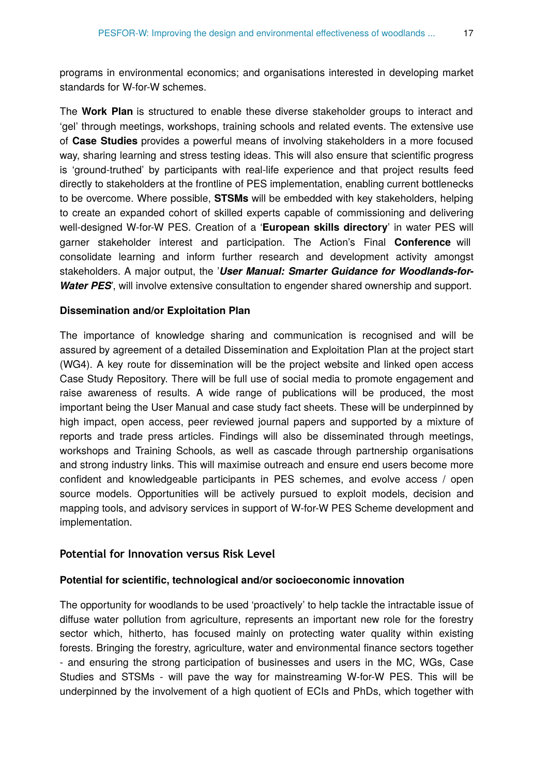programs in environmental economics; and organisations interested in developing market standards for W-for-W schemes.

The **Work Plan** is structured to enable these diverse stakeholder groups to interact and 'gel' through meetings, workshops, training schools and related events. The extensive use of **Case Studies** provides a powerful means of involving stakeholders in a more focused way, sharing learning and stress testing ideas. This will also ensure that scientific progress is 'ground-truthed' by participants with real-life experience and that project results feed directly to stakeholders at the frontline of PES implementation, enabling current bottlenecks to be overcome. Where possible, **STSMs** will be embedded with key stakeholders, helping to create an expanded cohort of skilled experts capable of commissioning and delivering well-designed W-for-W PES. Creation of a '**European skills directory**' in water PES will garner stakeholder interest and participation. The Action's Final **Conference** will consolidate learning and inform further research and development activity amongst stakeholders. A major output, the '*User Manual: Smarter Guidance for Woodlands-for-Water PES*', will involve extensive consultation to engender shared ownership and support.

#### **Dissemination and/or Exploitation Plan**

The importance of knowledge sharing and communication is recognised and will be assured by agreement of a detailed Dissemination and Exploitation Plan at the project start (WG4). A key route for dissemination will be the project website and linked open access Case Study Repository. There will be full use of social media to promote engagement and raise awareness of results. A wide range of publications will be produced, the most important being the User Manual and case study fact sheets. These will be underpinned by high impact, open access, peer reviewed journal papers and supported by a mixture of reports and trade press articles. Findings will also be disseminated through meetings, workshops and Training Schools, as well as cascade through partnership organisations and strong industry links. This will maximise outreach and ensure end users become more confident and knowledgeable participants in PES schemes, and evolve access / open source models. Opportunities will be actively pursued to exploit models, decision and mapping tools, and advisory services in support of W-for-W PES Scheme development and implementation.

#### **Potential for Innovation versus Risk Level**

#### **Potential for scientific, technological and/or socioeconomic innovation**

The opportunity for woodlands to be used 'proactively' to help tackle the intractable issue of diffuse water pollution from agriculture, represents an important new role for the forestry sector which, hitherto, has focused mainly on protecting water quality within existing forests. Bringing the forestry, agriculture, water and environmental finance sectors together - and ensuring the strong participation of businesses and users in the MC, WGs, Case Studies and STSMs - will pave the way for mainstreaming W-for-W PES. This will be underpinned by the involvement of a high quotient of ECIs and PhDs, which together with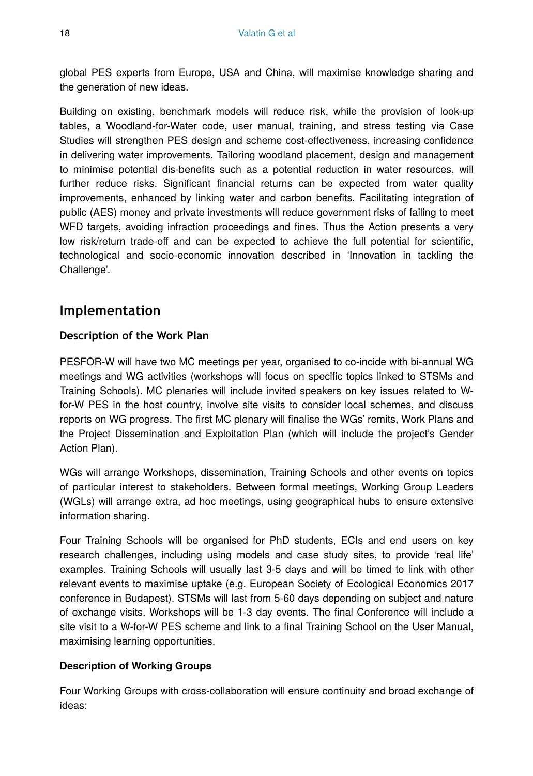global PES experts from Europe, USA and China, will maximise knowledge sharing and the generation of new ideas.

Building on existing, benchmark models will reduce risk, while the provision of look-up tables, a Woodland-for-Water code, user manual, training, and stress testing via Case Studies will strengthen PES design and scheme cost-effectiveness, increasing confidence in delivering water improvements. Tailoring woodland placement, design and management to minimise potential dis-benefits such as a potential reduction in water resources, will further reduce risks. Significant financial returns can be expected from water quality improvements, enhanced by linking water and carbon benefits. Facilitating integration of public (AES) money and private investments will reduce government risks of failing to meet WFD targets, avoiding infraction proceedings and fines. Thus the Action presents a very low risk/return trade-off and can be expected to achieve the full potential for scientific, technological and socio-economic innovation described in 'Innovation in tackling the Challenge'.

# **Implementation**

### **Description of the Work Plan**

PESFOR-W will have two MC meetings per year, organised to co-incide with bi-annual WG meetings and WG activities (workshops will focus on specific topics linked to STSMs and Training Schools). MC plenaries will include invited speakers on key issues related to Wfor-W PES in the host country, involve site visits to consider local schemes, and discuss reports on WG progress. The first MC plenary will finalise the WGs' remits, Work Plans and the Project Dissemination and Exploitation Plan (which will include the project's Gender Action Plan).

WGs will arrange Workshops, dissemination, Training Schools and other events on topics of particular interest to stakeholders. Between formal meetings, Working Group Leaders (WGLs) will arrange extra, ad hoc meetings, using geographical hubs to ensure extensive information sharing.

Four Training Schools will be organised for PhD students, ECIs and end users on key research challenges, including using models and case study sites, to provide 'real life' examples. Training Schools will usually last 3-5 days and will be timed to link with other relevant events to maximise uptake (e.g. European Society of Ecological Economics 2017 conference in Budapest). STSMs will last from 5-60 days depending on subject and nature of exchange visits. Workshops will be 1-3 day events. The final Conference will include a site visit to a W-for-W PES scheme and link to a final Training School on the User Manual, maximising learning opportunities.

#### **Description of Working Groups**

Four Working Groups with cross-collaboration will ensure continuity and broad exchange of ideas: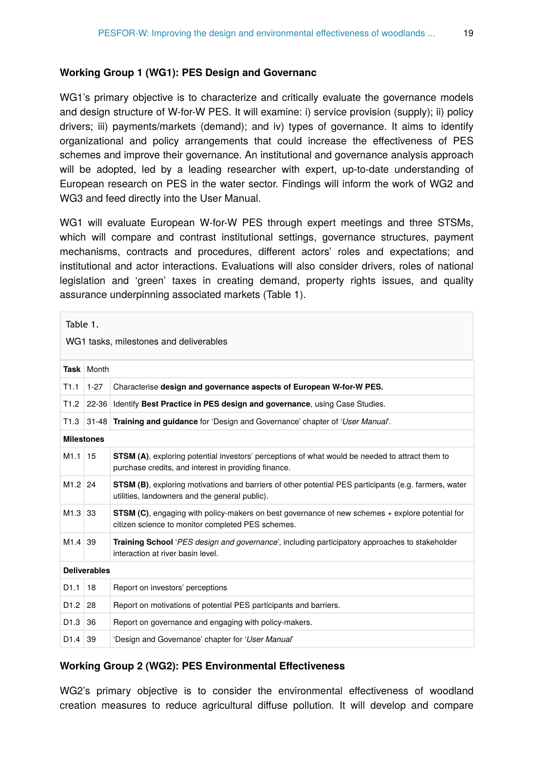#### **Working Group 1 (WG1): PES Design and Governanc**

WG1's primary objective is to characterize and critically evaluate the governance models and design structure of W-for-W PES. It will examine: i) service provision (supply); ii) policy drivers; iii) payments/markets (demand); and iv) types of governance. It aims to identify organizational and policy arrangements that could increase the effectiveness of PES schemes and improve their governance. An institutional and governance analysis approach will be adopted, led by a leading researcher with expert, up-to-date understanding of European research on PES in the water sector. Findings will inform the work of WG2 and WG3 and feed directly into the User Manual.

WG1 will evaluate European W-for-W PES through expert meetings and three STSMs, which will compare and contrast institutional settings, governance structures, payment mechanisms, contracts and procedures, different actors' roles and expectations; and institutional and actor interactions. Evaluations will also consider drivers, roles of national legislation and 'green' taxes in creating demand, property rights issues, and quality assurance underpinning associated markets (Table 1).

| Table 1.<br>WG1 tasks, milestones and deliverables |            |                                                                                                                                                              |
|----------------------------------------------------|------------|--------------------------------------------------------------------------------------------------------------------------------------------------------------|
|                                                    | Task Month |                                                                                                                                                              |
| T1.1                                               | $1 - 27$   | Characterise design and governance aspects of European W-for-W PES.                                                                                          |
| T1.2                                               | $22 - 36$  | Identify Best Practice in PES design and governance, using Case Studies.                                                                                     |
| T <sub>1.3</sub>                                   |            | 31-48 Training and quidance for 'Design and Governance' chapter of 'User Manual'.                                                                            |
| <b>Milestones</b>                                  |            |                                                                                                                                                              |
| $M1.1$ 15                                          |            | STSM (A), exploring potential investors' perceptions of what would be needed to attract them to<br>purchase credits, and interest in providing finance.      |
| $M1.2$ 24                                          |            | STSM (B), exploring motivations and barriers of other potential PES participants (e.g. farmers, water<br>utilities, landowners and the general public).      |
| M <sub>1.3</sub> 33                                |            | <b>STSM (C)</b> , engaging with policy-makers on best governance of new schemes + explore potential for<br>citizen science to monitor completed PES schemes. |
| M <sub>1.4</sub> 39                                |            | Training School 'PES design and governance', including participatory approaches to stakeholder<br>interaction at river basin level.                          |
| <b>Deliverables</b>                                |            |                                                                                                                                                              |
| D <sub>1.1</sub>                                   | 18         | Report on investors' perceptions                                                                                                                             |
| $D1.2$ 28                                          |            | Report on motivations of potential PES participants and barriers.                                                                                            |
| $D1.3$ 36                                          |            | Report on governance and engaging with policy-makers.                                                                                                        |
| $D1.4$ 39                                          |            | 'Design and Governance' chapter for 'User Manual'                                                                                                            |

#### **Working Group 2 (WG2): PES Environmental Effectiveness**

WG2's primary objective is to consider the environmental effectiveness of woodland creation measures to reduce agricultural diffuse pollution. It will develop and compare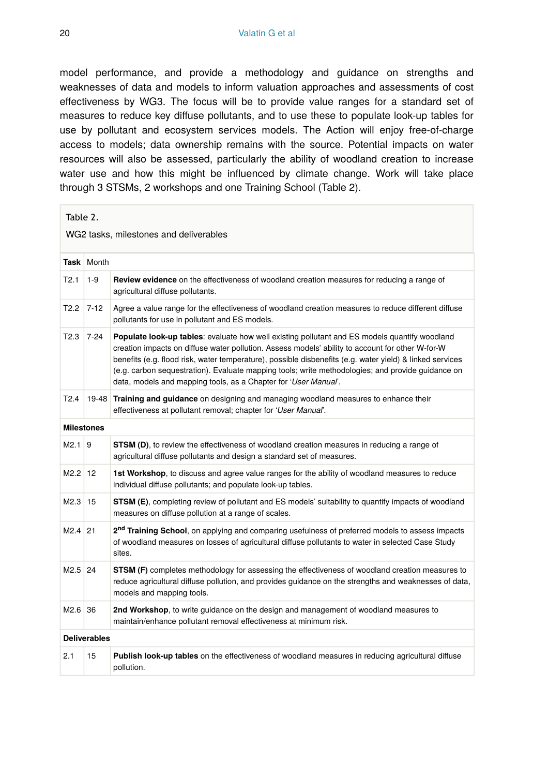model performance, and provide a methodology and guidance on strengths and weaknesses of data and models to inform valuation approaches and assessments of cost effectiveness by WG3. The focus will be to provide value ranges for a standard set of measures to reduce key diffuse pollutants, and to use these to populate look-up tables for use by pollutant and ecosystem services models. The Action will enjoy free-of-charge access to models; data ownership remains with the source. Potential impacts on water resources will also be assessed, particularly the ability of woodland creation to increase water use and how this might be influenced by climate change. Work will take place through 3 STSMs, 2 workshops and one Training School (Table 2).

| WG2 tasks, milestones and deliverables<br><b>Task</b> Month<br>T2.1<br>$1 - 9$<br>Review evidence on the effectiveness of woodland creation measures for reducing a range of<br>agricultural diffuse pollutants.<br>$T2.2$ 7-12<br>Agree a value range for the effectiveness of woodland creation measures to reduce different diffuse<br>pollutants for use in pollutant and ES models.<br>T2.3<br>$7 - 24$<br><b>Populate look-up tables:</b> evaluate how well existing pollutant and ES models quantify woodland<br>creation impacts on diffuse water pollution. Assess models' ability to account for other W-for-W<br>benefits (e.g. flood risk, water temperature), possible disbenefits (e.g. water yield) & linked services<br>(e.g. carbon sequestration). Evaluate mapping tools; write methodologies; and provide guidance on<br>data, models and mapping tools, as a Chapter for 'User Manual'.<br>T2.4<br>19-48<br>Training and guidance on designing and managing woodland measures to enhance their<br>effectiveness at pollutant removal; chapter for 'User Manual'.<br><b>Milestones</b><br>$M2.1$ 9<br><b>STSM (D)</b> , to review the effectiveness of woodland creation measures in reducing a range of<br>agricultural diffuse pollutants and design a standard set of measures.<br>$M2.2$ 12<br>1st Workshop, to discuss and agree value ranges for the ability of woodland measures to reduce<br>individual diffuse pollutants; and populate look-up tables.<br>$M2.3$ 15<br><b>STSM (E)</b> , completing review of pollutant and ES models' suitability to quantify impacts of woodland<br>measures on diffuse pollution at a range of scales.<br>2 <sup>nd</sup> Training School, on applying and comparing usefulness of preferred models to assess impacts<br>$M2.4$ 21<br>of woodland measures on losses of agricultural diffuse pollutants to water in selected Case Study<br>sites.<br>$M2.5$ 24<br>STSM (F) completes methodology for assessing the effectiveness of woodland creation measures to<br>reduce agricultural diffuse pollution, and provides guidance on the strengths and weaknesses of data,<br>models and mapping tools.<br>$M2.6$ 36<br>2nd Workshop, to write guidance on the design and management of woodland measures to<br>maintain/enhance pollutant removal effectiveness at minimum risk.<br><b>Deliverables</b><br>2.1<br>15<br>Publish look-up tables on the effectiveness of woodland measures in reducing agricultural diffuse<br>pollution. | Table 2. |  |  |  |
|-----------------------------------------------------------------------------------------------------------------------------------------------------------------------------------------------------------------------------------------------------------------------------------------------------------------------------------------------------------------------------------------------------------------------------------------------------------------------------------------------------------------------------------------------------------------------------------------------------------------------------------------------------------------------------------------------------------------------------------------------------------------------------------------------------------------------------------------------------------------------------------------------------------------------------------------------------------------------------------------------------------------------------------------------------------------------------------------------------------------------------------------------------------------------------------------------------------------------------------------------------------------------------------------------------------------------------------------------------------------------------------------------------------------------------------------------------------------------------------------------------------------------------------------------------------------------------------------------------------------------------------------------------------------------------------------------------------------------------------------------------------------------------------------------------------------------------------------------------------------------------------------------------------------------------------------------------------------------------------------------------------------------------------------------------------------------------------------------------------------------------------------------------------------------------------------------------------------------------------------------------------------------------------------------------------------------------------------------------------------------------------------------------------------------------------------------------------------------------------------------------------|----------|--|--|--|
|                                                                                                                                                                                                                                                                                                                                                                                                                                                                                                                                                                                                                                                                                                                                                                                                                                                                                                                                                                                                                                                                                                                                                                                                                                                                                                                                                                                                                                                                                                                                                                                                                                                                                                                                                                                                                                                                                                                                                                                                                                                                                                                                                                                                                                                                                                                                                                                                                                                                                                           |          |  |  |  |
|                                                                                                                                                                                                                                                                                                                                                                                                                                                                                                                                                                                                                                                                                                                                                                                                                                                                                                                                                                                                                                                                                                                                                                                                                                                                                                                                                                                                                                                                                                                                                                                                                                                                                                                                                                                                                                                                                                                                                                                                                                                                                                                                                                                                                                                                                                                                                                                                                                                                                                           |          |  |  |  |
|                                                                                                                                                                                                                                                                                                                                                                                                                                                                                                                                                                                                                                                                                                                                                                                                                                                                                                                                                                                                                                                                                                                                                                                                                                                                                                                                                                                                                                                                                                                                                                                                                                                                                                                                                                                                                                                                                                                                                                                                                                                                                                                                                                                                                                                                                                                                                                                                                                                                                                           |          |  |  |  |
|                                                                                                                                                                                                                                                                                                                                                                                                                                                                                                                                                                                                                                                                                                                                                                                                                                                                                                                                                                                                                                                                                                                                                                                                                                                                                                                                                                                                                                                                                                                                                                                                                                                                                                                                                                                                                                                                                                                                                                                                                                                                                                                                                                                                                                                                                                                                                                                                                                                                                                           |          |  |  |  |
|                                                                                                                                                                                                                                                                                                                                                                                                                                                                                                                                                                                                                                                                                                                                                                                                                                                                                                                                                                                                                                                                                                                                                                                                                                                                                                                                                                                                                                                                                                                                                                                                                                                                                                                                                                                                                                                                                                                                                                                                                                                                                                                                                                                                                                                                                                                                                                                                                                                                                                           |          |  |  |  |
|                                                                                                                                                                                                                                                                                                                                                                                                                                                                                                                                                                                                                                                                                                                                                                                                                                                                                                                                                                                                                                                                                                                                                                                                                                                                                                                                                                                                                                                                                                                                                                                                                                                                                                                                                                                                                                                                                                                                                                                                                                                                                                                                                                                                                                                                                                                                                                                                                                                                                                           |          |  |  |  |
|                                                                                                                                                                                                                                                                                                                                                                                                                                                                                                                                                                                                                                                                                                                                                                                                                                                                                                                                                                                                                                                                                                                                                                                                                                                                                                                                                                                                                                                                                                                                                                                                                                                                                                                                                                                                                                                                                                                                                                                                                                                                                                                                                                                                                                                                                                                                                                                                                                                                                                           |          |  |  |  |
|                                                                                                                                                                                                                                                                                                                                                                                                                                                                                                                                                                                                                                                                                                                                                                                                                                                                                                                                                                                                                                                                                                                                                                                                                                                                                                                                                                                                                                                                                                                                                                                                                                                                                                                                                                                                                                                                                                                                                                                                                                                                                                                                                                                                                                                                                                                                                                                                                                                                                                           |          |  |  |  |
|                                                                                                                                                                                                                                                                                                                                                                                                                                                                                                                                                                                                                                                                                                                                                                                                                                                                                                                                                                                                                                                                                                                                                                                                                                                                                                                                                                                                                                                                                                                                                                                                                                                                                                                                                                                                                                                                                                                                                                                                                                                                                                                                                                                                                                                                                                                                                                                                                                                                                                           |          |  |  |  |
|                                                                                                                                                                                                                                                                                                                                                                                                                                                                                                                                                                                                                                                                                                                                                                                                                                                                                                                                                                                                                                                                                                                                                                                                                                                                                                                                                                                                                                                                                                                                                                                                                                                                                                                                                                                                                                                                                                                                                                                                                                                                                                                                                                                                                                                                                                                                                                                                                                                                                                           |          |  |  |  |
|                                                                                                                                                                                                                                                                                                                                                                                                                                                                                                                                                                                                                                                                                                                                                                                                                                                                                                                                                                                                                                                                                                                                                                                                                                                                                                                                                                                                                                                                                                                                                                                                                                                                                                                                                                                                                                                                                                                                                                                                                                                                                                                                                                                                                                                                                                                                                                                                                                                                                                           |          |  |  |  |
|                                                                                                                                                                                                                                                                                                                                                                                                                                                                                                                                                                                                                                                                                                                                                                                                                                                                                                                                                                                                                                                                                                                                                                                                                                                                                                                                                                                                                                                                                                                                                                                                                                                                                                                                                                                                                                                                                                                                                                                                                                                                                                                                                                                                                                                                                                                                                                                                                                                                                                           |          |  |  |  |
|                                                                                                                                                                                                                                                                                                                                                                                                                                                                                                                                                                                                                                                                                                                                                                                                                                                                                                                                                                                                                                                                                                                                                                                                                                                                                                                                                                                                                                                                                                                                                                                                                                                                                                                                                                                                                                                                                                                                                                                                                                                                                                                                                                                                                                                                                                                                                                                                                                                                                                           |          |  |  |  |
|                                                                                                                                                                                                                                                                                                                                                                                                                                                                                                                                                                                                                                                                                                                                                                                                                                                                                                                                                                                                                                                                                                                                                                                                                                                                                                                                                                                                                                                                                                                                                                                                                                                                                                                                                                                                                                                                                                                                                                                                                                                                                                                                                                                                                                                                                                                                                                                                                                                                                                           |          |  |  |  |
|                                                                                                                                                                                                                                                                                                                                                                                                                                                                                                                                                                                                                                                                                                                                                                                                                                                                                                                                                                                                                                                                                                                                                                                                                                                                                                                                                                                                                                                                                                                                                                                                                                                                                                                                                                                                                                                                                                                                                                                                                                                                                                                                                                                                                                                                                                                                                                                                                                                                                                           |          |  |  |  |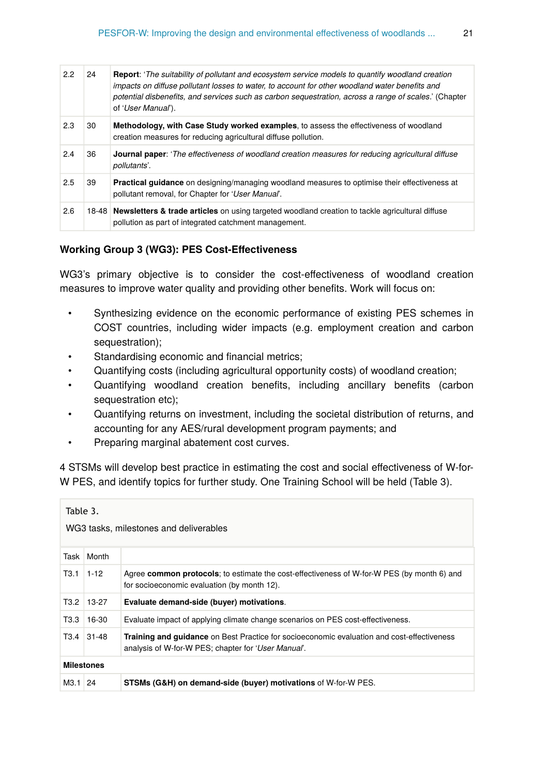| 22  | 24 | <b>Report:</b> 'The suitability of pollutant and ecosystem service models to quantify woodland creation<br>impacts on diffuse pollutant losses to water, to account for other woodland water benefits and<br>potential disbenefits, and services such as carbon sequestration, across a range of scales.' (Chapter<br>of 'User Manual'). |
|-----|----|------------------------------------------------------------------------------------------------------------------------------------------------------------------------------------------------------------------------------------------------------------------------------------------------------------------------------------------|
| 2.3 | 30 | Methodology, with Case Study worked examples, to assess the effectiveness of woodland<br>creation measures for reducing agricultural diffuse pollution.                                                                                                                                                                                  |
| 2.4 | 36 | <b>Journal paper:</b> 'The effectiveness of woodland creation measures for reducing agricultural diffuse<br>pollutants'.                                                                                                                                                                                                                 |
| 2.5 | 39 | Practical guidance on designing/managing woodland measures to optimise their effectiveness at<br>pollutant removal, for Chapter for 'User Manual'.                                                                                                                                                                                       |
| 2.6 |    | 18-48 Newsletters & trade articles on using targeted woodland creation to tackle agricultural diffuse<br>pollution as part of integrated catchment management.                                                                                                                                                                           |

#### **Working Group 3 (WG3): PES Cost-Effectiveness**

WG3's primary objective is to consider the cost-effectiveness of woodland creation measures to improve water quality and providing other benefits. Work will focus on:

- Synthesizing evidence on the economic performance of existing PES schemes in COST countries, including wider impacts (e.g. employment creation and carbon sequestration);
- Standardising economic and financial metrics;
- Quantifying costs (including agricultural opportunity costs) of woodland creation;
- Quantifying woodland creation benefits, including ancillary benefits (carbon sequestration etc);
- Quantifying returns on investment, including the societal distribution of returns, and accounting for any AES/rural development program payments; and
- Preparing marginal abatement cost curves.

4 STSMs will develop best practice in estimating the cost and social effectiveness of W-for-W PES, and identify topics for further study. One Training School will be held (Table 3).

| Table 3.<br>WG3 tasks, milestones and deliverables |              |                                                                                                                                                          |
|----------------------------------------------------|--------------|----------------------------------------------------------------------------------------------------------------------------------------------------------|
|                                                    | Task   Month |                                                                                                                                                          |
| T3.1                                               | $1 - 12$     | Agree common protocols; to estimate the cost-effectiveness of W-for-W PES (by month 6) and<br>for socioeconomic evaluation (by month 12).                |
|                                                    | T3.2 13-27   | Evaluate demand-side (buyer) motivations.                                                                                                                |
| T3.3                                               | 16-30        | Evaluate impact of applying climate change scenarios on PES cost-effectiveness.                                                                          |
|                                                    | T3.4 31-48   | <b>Training and guidance</b> on Best Practice for socioeconomic evaluation and cost-effectiveness<br>analysis of W-for-W PES; chapter for 'User Manual'. |
| <b>Milestones</b>                                  |              |                                                                                                                                                          |
| M3.1 24                                            |              | <b>STSMs (G&amp;H) on demand-side (buyer) motivations of W-for-W PES.</b>                                                                                |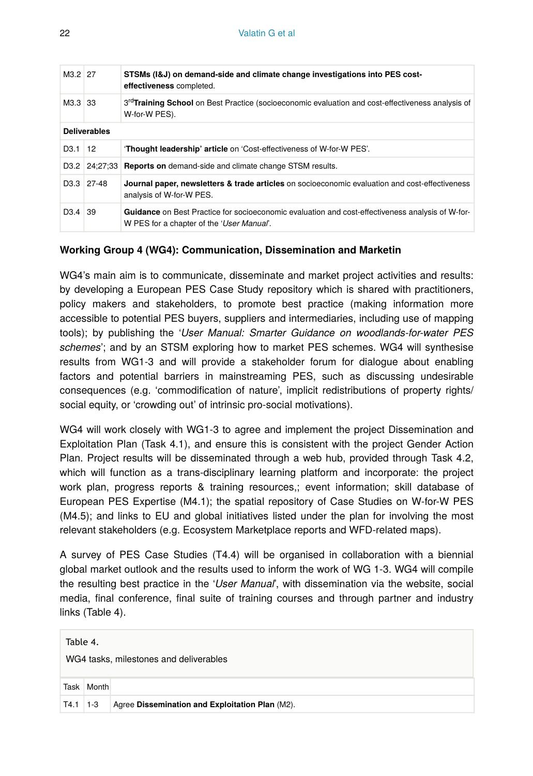| M3.2 27             |                         | STSMs (1&J) on demand-side and climate change investigations into PES cost-<br>effectiveness completed.                                              |
|---------------------|-------------------------|------------------------------------------------------------------------------------------------------------------------------------------------------|
| M3.3 33             |                         | 3 <sup>rd</sup> Training School on Best Practice (socioeconomic evaluation and cost-effectiveness analysis of<br>W-for-W PES).                       |
| <b>Deliverables</b> |                         |                                                                                                                                                      |
| $D3.1$ 12           |                         | <b>Thought leadership' article</b> on 'Cost-effectiveness of W-for-W PES'.                                                                           |
|                     |                         | D3.2 24:27:33 Reports on demand-side and climate change STSM results.                                                                                |
|                     | D <sub>3</sub> .3 27-48 | Journal paper, newsletters & trade articles on socioeconomic evaluation and cost-effectiveness<br>analysis of W-for-W PES.                           |
| $D3.4$ 39           |                         | <b>Guidance</b> on Best Practice for socioeconomic evaluation and cost-effectiveness analysis of W-for-<br>W PES for a chapter of the 'User Manual'. |

#### **Working Group 4 (WG4): Communication, Dissemination and Marketin**

WG4's main aim is to communicate, disseminate and market project activities and results: by developing a European PES Case Study repository which is shared with practitioners, policy makers and stakeholders, to promote best practice (making information more accessible to potential PES buyers, suppliers and intermediaries, including use of mapping tools); by publishing the '*User Manual: Smarter Guidance on woodlands-for-water PES schemes*'; and by an STSM exploring how to market PES schemes. WG4 will synthesise results from WG1-3 and will provide a stakeholder forum for dialogue about enabling factors and potential barriers in mainstreaming PES, such as discussing undesirable consequences (e.g. 'commodification of nature', implicit redistributions of property rights/ social equity, or 'crowding out' of intrinsic pro-social motivations).

WG4 will work closely with WG1-3 to agree and implement the project Dissemination and Exploitation Plan (Task 4.1), and ensure this is consistent with the project Gender Action Plan. Project results will be disseminated through a web hub, provided through Task 4.2, which will function as a trans-disciplinary learning platform and incorporate: the project work plan, progress reports & training resources,; event information; skill database of European PES Expertise (M4.1); the spatial repository of Case Studies on W-for-W PES (M4.5); and links to EU and global initiatives listed under the plan for involving the most relevant stakeholders (e.g. Ecosystem Marketplace reports and WFD-related maps).

A survey of PES Case Studies (T4.4) will be organised in collaboration with a biennial global market outlook and the results used to inform the work of WG 1-3. WG4 will compile the resulting best practice in the '*User Manual*', with dissemination via the website, social media, final conference, final suite of training courses and through partner and industry links (Table 4).

| Table 4.<br>WG4 tasks, milestones and deliverables |            |                                                 |
|----------------------------------------------------|------------|-------------------------------------------------|
|                                                    | Task Month |                                                 |
|                                                    |            | Agree Dissemination and Exploitation Plan (M2). |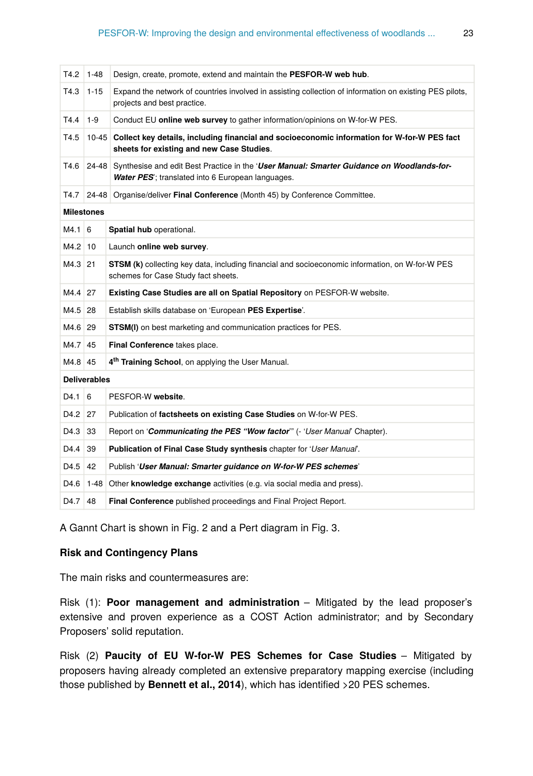| T4.2                | $1 - 48$            | Design, create, promote, extend and maintain the PESFOR-W web hub.                                                                             |
|---------------------|---------------------|------------------------------------------------------------------------------------------------------------------------------------------------|
| T4.3                | $1 - 15$            | Expand the network of countries involved in assisting collection of information on existing PES pilots,<br>projects and best practice.         |
| T4.4                | $1 - 9$             | Conduct EU online web survey to gather information/opinions on W-for-W PES.                                                                    |
| T4.5                | $10 - 45$           | Collect key details, including financial and socioeconomic information for W-for-W PES fact<br>sheets for existing and new Case Studies.       |
| T4.6                | $24 - 48$           | Synthesise and edit Best Practice in the 'User Manual: Smarter Guidance on Woodlands-for-<br>Water PES'; translated into 6 European languages. |
| T4.7                |                     | 24-48 Organise/deliver Final Conference (Month 45) by Conference Committee.                                                                    |
|                     | <b>Milestones</b>   |                                                                                                                                                |
| $M4.1\overline{6}$  |                     | Spatial hub operational.                                                                                                                       |
| M4.2 10             |                     | Launch online web survey.                                                                                                                      |
| M4.3 21             |                     | <b>STSM (k)</b> collecting key data, including financial and socioeconomic information, on W-for-W PES<br>schemes for Case Study fact sheets.  |
| M4.4 27             |                     | Existing Case Studies are all on Spatial Repository on PESFOR-W website.                                                                       |
| M4.5 28             |                     | Establish skills database on 'European PES Expertise'.                                                                                         |
| M4.6 29             |                     | <b>STSM(I)</b> on best marketing and communication practices for PES.                                                                          |
| M4.7 45             |                     | Final Conference takes place.                                                                                                                  |
| M4.8 45             |                     | 4 <sup>th</sup> Training School, on applying the User Manual.                                                                                  |
|                     | <b>Deliverables</b> |                                                                                                                                                |
| D4.1                | 6                   | PESFOR-W website.                                                                                                                              |
| D <sub>4.2</sub> 27 |                     | Publication of factsheets on existing Case Studies on W-for-W PES.                                                                             |
| D <sub>4.3</sub> 33 |                     | Report on 'Communicating the PES "Wow factor" (- 'User Manual' Chapter).                                                                       |
| D4.4                | 39                  | Publication of Final Case Study synthesis chapter for 'User Manual'.                                                                           |
| D4.5                | 42                  | Publish 'User Manual: Smarter guidance on W-for-W PES schemes'                                                                                 |
| D4.6                |                     | 1-48 Other knowledge exchange activities (e.g. via social media and press).                                                                    |
| D4.7                | 48                  | <b>Final Conference</b> published proceedings and Final Project Report.                                                                        |

A Gannt Chart is shown in Fig. 2 and a Pert diagram in Fig. 3.

#### **Risk and Contingency Plans**

The main risks and countermeasures are:

Risk (1): **Poor management and administration** – Mitigated by the lead proposer's extensive and proven experience as a COST Action administrator; and by Secondary Proposers' solid reputation.

Risk (2) **Paucity of EU W-for-W PES Schemes for Case Studies** – Mitigated by proposers having already completed an extensive preparatory mapping exercise (including those published by **Bennett et al., 2014**), which has identified >20 PES schemes.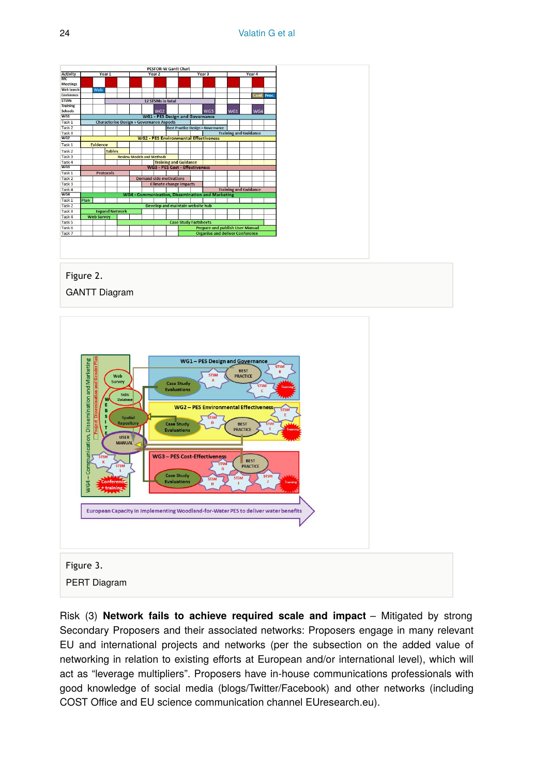

Risk (3) **Network fails to achieve required scale and impact** – Mitigated by strong Secondary Proposers and their associated networks: Proposers engage in many relevant EU and international projects and networks (per the subsection on the added value of networking in relation to existing efforts at European and/or international level), which will act as "leverage multipliers". Proposers have in-house communications professionals with good knowledge of social media (blogs/Twitter/Facebook) and other networks (including COST Office and EU science communication channel EUresearch.eu).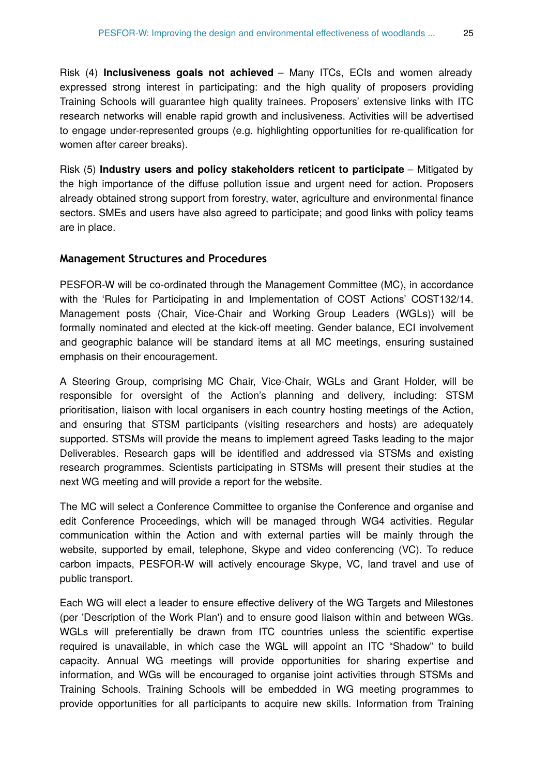Risk (4) **Inclusiveness goals not achieved** – Many ITCs, ECIs and women already expressed strong interest in participating: and the high quality of proposers providing Training Schools will guarantee high quality trainees. Proposers' extensive links with ITC research networks will enable rapid growth and inclusiveness. Activities will be advertised to engage under-represented groups (e.g. highlighting opportunities for re-qualification for women after career breaks).

Risk (5) **Industry users and policy stakeholders reticent to participate** – Mitigated by the high importance of the diffuse pollution issue and urgent need for action. Proposers already obtained strong support from forestry, water, agriculture and environmental finance sectors. SMEs and users have also agreed to participate; and good links with policy teams are in place.

#### **Management Structures and Procedures**

PESFOR-W will be co-ordinated through the Management Committee (MC), in accordance with the 'Rules for Participating in and Implementation of COST Actions' COST132/14. Management posts (Chair, Vice-Chair and Working Group Leaders (WGLs)) will be formally nominated and elected at the kick-off meeting. Gender balance, ECI involvement and geographic balance will be standard items at all MC meetings, ensuring sustained emphasis on their encouragement.

A Steering Group, comprising MC Chair, Vice-Chair, WGLs and Grant Holder, will be responsible for oversight of the Action's planning and delivery, including: STSM prioritisation, liaison with local organisers in each country hosting meetings of the Action, and ensuring that STSM participants (visiting researchers and hosts) are adequately supported. STSMs will provide the means to implement agreed Tasks leading to the major Deliverables. Research gaps will be identified and addressed via STSMs and existing research programmes. Scientists participating in STSMs will present their studies at the next WG meeting and will provide a report for the website.

The MC will select a Conference Committee to organise the Conference and organise and edit Conference Proceedings, which will be managed through WG4 activities. Regular communication within the Action and with external parties will be mainly through the website, supported by email, telephone, Skype and video conferencing (VC). To reduce carbon impacts, PESFOR-W will actively encourage Skype, VC, land travel and use of public transport.

Each WG will elect a leader to ensure effective delivery of the WG Targets and Milestones (per 'Description of the Work Plan') and to ensure good liaison within and between WGs. WGLs will preferentially be drawn from ITC countries unless the scientific expertise required is unavailable, in which case the WGL will appoint an ITC "Shadow" to build capacity. Annual WG meetings will provide opportunities for sharing expertise and information, and WGs will be encouraged to organise joint activities through STSMs and Training Schools. Training Schools will be embedded in WG meeting programmes to provide opportunities for all participants to acquire new skills. Information from Training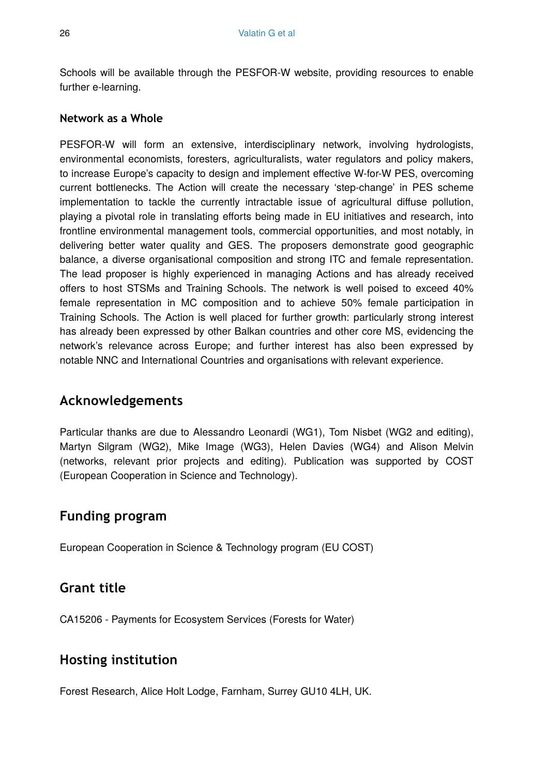Schools will be available through the PESFOR-W website, providing resources to enable further e-learning.

#### **Network as a Whole**

PESFOR-W will form an extensive, interdisciplinary network, involving hydrologists, environmental economists, foresters, agriculturalists, water regulators and policy makers, to increase Europe's capacity to design and implement effective W-for-W PES, overcoming current bottlenecks. The Action will create the necessary 'step-change' in PES scheme implementation to tackle the currently intractable issue of agricultural diffuse pollution, playing a pivotal role in translating efforts being made in EU initiatives and research, into frontline environmental management tools, commercial opportunities, and most notably, in delivering better water quality and GES. The proposers demonstrate good geographic balance, a diverse organisational composition and strong ITC and female representation. The lead proposer is highly experienced in managing Actions and has already received offers to host STSMs and Training Schools. The network is well poised to exceed 40% female representation in MC composition and to achieve 50% female participation in Training Schools. The Action is well placed for further growth: particularly strong interest has already been expressed by other Balkan countries and other core MS, evidencing the network's relevance across Europe; and further interest has also been expressed by notable NNC and International Countries and organisations with relevant experience.

## **Acknowledgements**

Particular thanks are due to Alessandro Leonardi (WG1), Tom Nisbet (WG2 and editing), Martyn Silgram (WG2), Mike Image (WG3), Helen Davies (WG4) and Alison Melvin (networks, relevant prior projects and editing). Publication was supported by COST (European Cooperation in Science and Technology).

# **Funding program**

European Cooperation in Science & Technology program (EU COST)

## **Grant title**

CA15206 - Payments for Ecosystem Services (Forests for Water)

# **Hosting institution**

Forest Research, Alice Holt Lodge, Farnham, Surrey GU10 4LH, UK.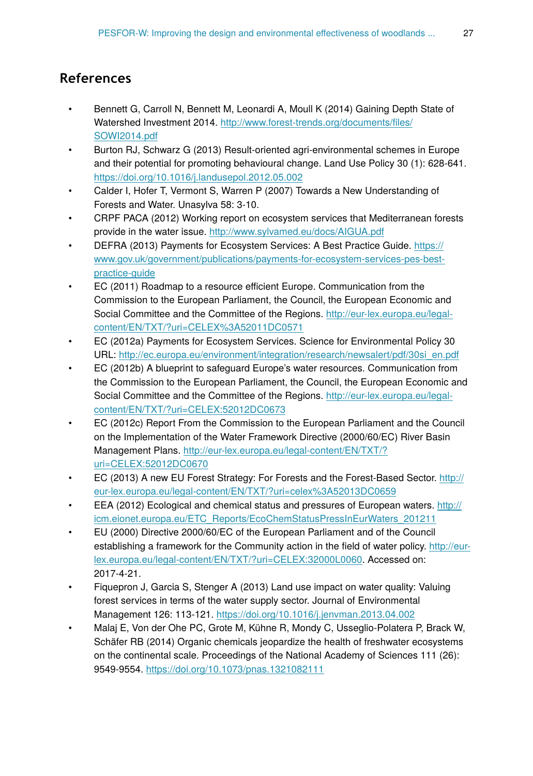# **References**

- Bennett G, Carroll N, Bennett M, Leonardi A, Moull K (2014) Gaining Depth State of Watershed Investment 2014. [http://www.forest-trends.org/documents/](http://www.forest-trends.org/documents/files/SOWI2014.pdf)files/ [SOWI2014.pdf](http://www.forest-trends.org/documents/files/SOWI2014.pdf)
- Burton RJ, Schwarz G (2013) Result-oriented agri-environmental schemes in Europe and their potential for promoting behavioural change. Land Use Policy 30 (1): 628‑641. <https://doi.org/10.1016/j.landusepol.2012.05.002>
- Calder I, Hofer T, Vermont S, Warren P (2007) Towards a New Understanding of Forests and Water. Unasylva 58: 3‑10.
- CRPF PACA (2012) Working report on ecosystem services that Mediterranean forests provide in the water issue. <http://www.sylvamed.eu/docs/AIGUA.pdf>
- DEFRA (2013) Payments for Ecosystem Services: A Best Practice Guide. [https://](https://www.gov.uk/government/publications/payments-for-ecosystem-services-pes-best-practice-guide) [www.gov.uk/government/publications/payments-for-ecosystem-services-pes-best](https://www.gov.uk/government/publications/payments-for-ecosystem-services-pes-best-practice-guide)[practice-guide](https://www.gov.uk/government/publications/payments-for-ecosystem-services-pes-best-practice-guide)
- EC (2011) Roadmap to a resource efficient Europe. Communication from the Commission to the European Parliament, the Council, the European Economic and Social Committee and the Committee of the Regions. [http://eur-lex.europa.eu/legal](http://eur-lex.europa.eu/legal-content/EN/TXT/?uri=CELEX%3A52011DC0571)[content/EN/TXT/?uri=CELEX%3A52011DC0571](http://eur-lex.europa.eu/legal-content/EN/TXT/?uri=CELEX%3A52011DC0571)
- EC (2012a) Payments for Ecosystem Services. Science for Environmental Policy 30 URL: [http://ec.europa.eu/environment/integration/research/newsalert/pdf/30si\\_en.pdf](http://ec.europa.eu/environment/integration/research/newsalert/pdf/30si_en.pdf)
- EC (2012b) A blueprint to safeguard Europe's water resources. Communication from the Commission to the European Parliament, the Council, the European Economic and Social Committee and the Committee of the Regions. [http://eur-lex.europa.eu/legal](http://eur-lex.europa.eu/legal-content/EN/TXT/?uri=CELEX:52012DC0673)[content/EN/TXT/?uri=CELEX:52012DC0673](http://eur-lex.europa.eu/legal-content/EN/TXT/?uri=CELEX:52012DC0673)
- EC (2012c) Report From the Commission to the European Parliament and the Council on the Implementation of the Water Framework Directive (2000/60/EC) River Basin Management Plans. [http://eur-lex.europa.eu/legal-content/EN/TXT/?](http://eur-lex.europa.eu/legal-content/EN/TXT/?uri=CELEX:52012DC0670) [uri=CELEX:52012DC0670](http://eur-lex.europa.eu/legal-content/EN/TXT/?uri=CELEX:52012DC0670)
- EC (2013) A new EU Forest Strategy: For Forests and the Forest-Based Sector. [http://](http://eur-lex.europa.eu/legal-content/EN/TXT/?uri=celex%3A52013DC0659) [eur-lex.europa.eu/legal-content/EN/TXT/?uri=celex%3A52013DC0659](http://eur-lex.europa.eu/legal-content/EN/TXT/?uri=celex%3A52013DC0659)
- EEA (2012) Ecological and chemical status and pressures of European waters. [http://](http://icm.eionet.europa.eu/ETC_Reports/EcoChemStatusPressInEurWaters_201211) [icm.eionet.europa.eu/ETC\\_Reports/EcoChemStatusPressInEurWaters\\_201211](http://icm.eionet.europa.eu/ETC_Reports/EcoChemStatusPressInEurWaters_201211)
- EU (2000) Directive 2000/60/EC of the European Parliament and of the Council establishing a framework for the Community action in the field of water policy. [http://eur](http://eur-lex.europa.eu/legal-content/EN/TXT/?uri=CELEX:32000L0060)[lex.europa.eu/legal-content/EN/TXT/?uri=CELEX:32000L0060.](http://eur-lex.europa.eu/legal-content/EN/TXT/?uri=CELEX:32000L0060) Accessed on: 2017-4-21.
- Fiquepron J, Garcia S, Stenger A (2013) Land use impact on water quality: Valuing forest services in terms of the water supply sector. Journal of Environmental Management 126: 113‑121. <https://doi.org/10.1016/j.jenvman.2013.04.002>
- Malaj E, Von der Ohe PC, Grote M, Kühne R, Mondy C, Usseglio-Polatera P, Brack W, Schäfer RB (2014) Organic chemicals jeopardize the health of freshwater ecosystems on the continental scale. Proceedings of the National Academy of Sciences 111 (26): 9549‑9554.<https://doi.org/10.1073/pnas.1321082111>